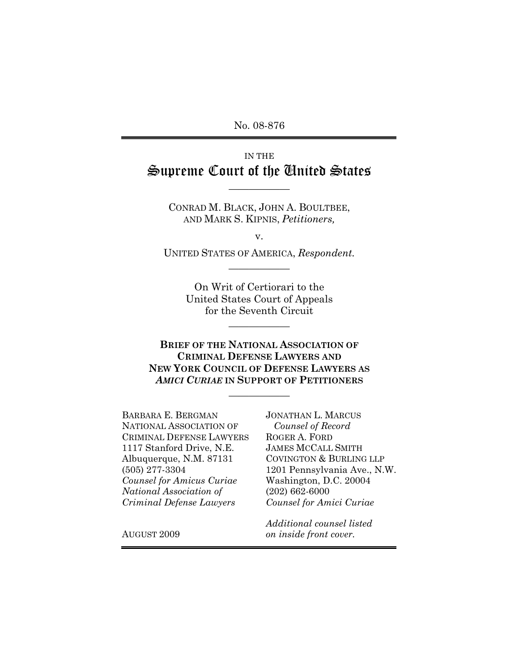No. 08-876

# IN THE Supreme Court of the United States

CONRAD M. BLACK, JOHN A. BOULTBEE, AND MARK S. KIPNIS, *Petitioners,*

——————

v.

UNITED STATES OF AMERICA, *Respondent.* ——————

> On Writ of Certiorari to the United States Court of Appeals for the Seventh Circuit

> > ——————

**BRIEF OF THE NATIONAL ASSOCIATION OF CRIMINAL DEFENSE LAWYERS AND NEW YORK COUNCIL OF DEFENSE LAWYERS AS** *AMICI CURIAE* **IN SUPPORT OF PETITIONERS**

——————

BARBARA E. BERGMAN NATIONAL ASSOCIATION OF CRIMINAL DEFENSE LAWYERS 1117 Stanford Drive, N.E. Albuquerque, N.M. 87131 (505) 277-3304 *Counsel for Amicus Curiae National Association of Criminal Defense Lawyers* 

JONATHAN L. MARCUS *Counsel of Record*  ROGER A. FORD JAMES MCCALL SMITH COVINGTON & BURLING LLP 1201 Pennsylvania Ave., N.W. Washington, D.C. 20004 (202) 662-6000 *Counsel for Amici Curiae*

AUGUST 2009

*Additional counsel listed on inside front cover.*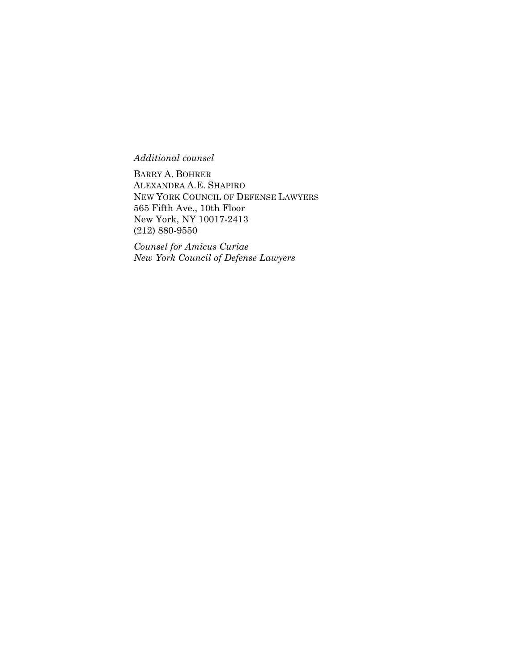*Additional counsel*

BARRY A. BOHRER ALEXANDRA A.E. SHAPIRO NEW YORK COUNCIL OF DEFENSE LAWYERS 565 Fifth Ave., 10th Floor New York, NY 10017-2413 (212) 880-9550

*Counsel for Amicus Curiae New York Council of Defense Lawyers*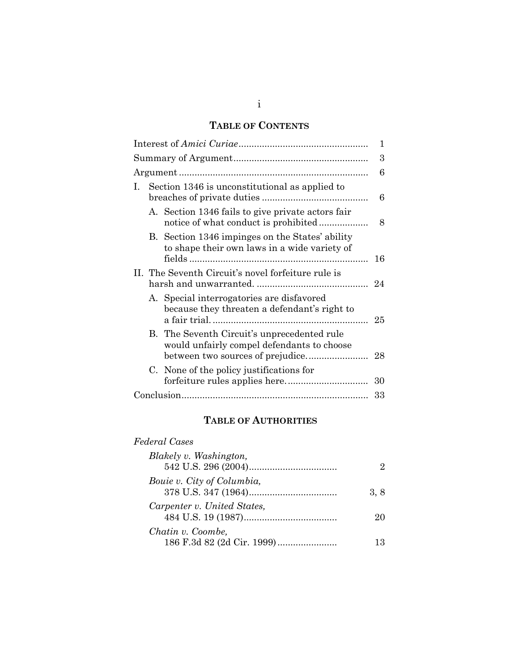# **TABLE OF CONTENTS**

|   |  |                                                                                                 | 1  |
|---|--|-------------------------------------------------------------------------------------------------|----|
|   |  | 3                                                                                               |    |
|   |  | 6                                                                                               |    |
| L |  | Section 1346 is unconstitutional as applied to                                                  | 6  |
|   |  | A. Section 1346 fails to give private actors fair                                               | 8  |
|   |  | B. Section 1346 impinges on the States' ability<br>to shape their own laws in a wide variety of | 16 |
|   |  | II. The Seventh Circuit's novel forfeiture rule is                                              |    |
|   |  | A. Special interrogatories are disfavored<br>because they threaten a defendant's right to       |    |
|   |  | B. The Seventh Circuit's unprecedented rule<br>would unfairly compel defendants to choose       |    |
|   |  | C. None of the policy justifications for                                                        | 30 |
|   |  |                                                                                                 | 33 |

# **TABLE OF AUTHORITIES**

# *Federal Cases*

| Blakely v. Washington,      |     |
|-----------------------------|-----|
|                             |     |
| Bouie v. City of Columbia,  |     |
|                             | 3.8 |
| Carpenter v. United States, |     |
|                             | 20  |
| Chatin v. Coombe,           |     |
|                             | 13  |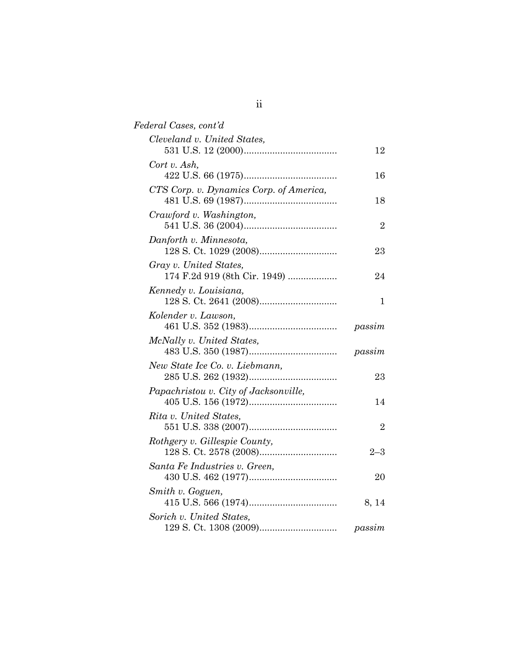| Federal Cases, cont'd                                  |                |
|--------------------------------------------------------|----------------|
| Cleveland v. United States,                            | 12             |
| Cort v. Ash,                                           | 16             |
| CTS Corp. v. Dynamics Corp. of America,                | 18             |
| Crawford v. Washington,                                | $\overline{2}$ |
| Danforth v. Minnesota,                                 | 23             |
| Gray v. United States,<br>174 F.2d 919 (8th Cir. 1949) | 24             |
| Kennedy v. Louisiana,                                  | 1              |
| Kolender v. Lawson,                                    | passim         |
| McNally v. United States,                              | passim         |
| New State Ice Co. v. Liebmann,                         | 23             |
| Papachristou v. City of Jacksonville,                  | 14             |
| Rita v. United States,                                 | $\overline{2}$ |
| Rothgery v. Gillespie County,                          | $2 - 3$        |
| Santa Fe Industries v. Green,                          |                |
| Smith v. Goguen,                                       | 20             |
| Sorich v. United States,                               | 8, 14          |
|                                                        | passim         |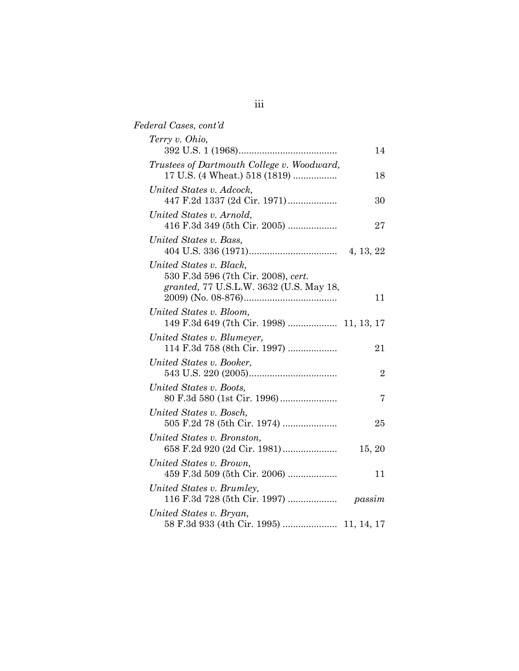| Federal Cases, cont'd                                                       |                |
|-----------------------------------------------------------------------------|----------------|
| Terry v. Ohio,                                                              | 14             |
| Trustees of Dartmouth College v. Woodward,<br>17 U.S. (4 Wheat.) 518 (1819) | 18             |
| United States v. Adcock,<br>447 F.2d 1337 (2d Cir. 1971)                    | 30             |
| United States v. Arnold,<br>416 F.3d 349 (5th Cir. 2005)                    | 27             |
| United States v. Bass,                                                      |                |
| United States v. Black,<br>530 F.3d 596 (7th Cir. 2008), cert.              |                |
| granted, 77 U.S.L.W. 3632 (U.S. May 18,                                     | 11             |
| United States v. Bloom,                                                     |                |
| United States v. Blumeyer,<br>114 F.3d 758 (8th Cir. 1997)                  | 21             |
| United States v. Booker,                                                    | $\overline{2}$ |
| United States v. Boots,                                                     | 7              |
| United States v. Bosch,<br>505 F.2d 78 (5th Cir. 1974)                      | 25             |
| United States v. Bronston,                                                  | 15, 20         |
| United States v. Brown,<br>459 F.3d 509 (5th Cir. 2006)                     | 11             |
| United States v. Brumley,<br>116 F.3d 728 (5th Cir. 1997)                   | passim         |
| United States v. Bryan,<br>58 F.3d 933 (4th Cir. 1995)  11, 14, 17          |                |
|                                                                             |                |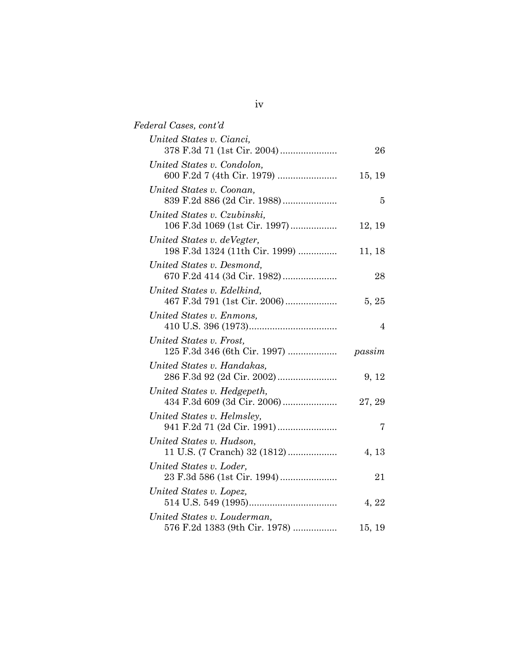| Federal Cases, cont'd                                        |        |
|--------------------------------------------------------------|--------|
| United States v. Cianci,                                     | 26     |
| United States v. Condolon,                                   | 15, 19 |
| United States v. Coonan,<br>839 F.2d 886 (2d Cir. 1988)      | 5      |
| United States v. Czubinski,<br>106 F.3d 1069 (1st Cir. 1997) | 12, 19 |
| United States v. deVegter,<br>198 F.3d 1324 (11th Cir. 1999) | 11, 18 |
| United States v. Desmond,<br>670 F.2d 414 (3d Cir. 1982)     | 28     |
| United States v. Edelkind,<br>467 F.3d 791 (1st Cir. 2006)   | 5, 25  |
| United States v. Enmons,                                     | 4      |
| United States v. Frost,<br>125 F.3d 346 (6th Cir. 1997)      | passim |
| United States v. Handakas,                                   | 9, 12  |
| United States v. Hedgepeth,<br>434 F.3d 609 (3d Cir. 2006)   | 27, 29 |
| United States v. Helmsley,                                   | 7      |
| United States v. Hudson,                                     |        |
| 11 U.S. (7 Cranch) 32 (1812)<br>United States v. Loder,      | 4, 13  |
| 23 F.3d 586 (1st Cir. 1994)<br>United States v. Lopez,       | 21     |
| United States v. Louderman,                                  | 4, 22  |
| 576 F.2d 1383 (9th Cir. 1978)                                | 15, 19 |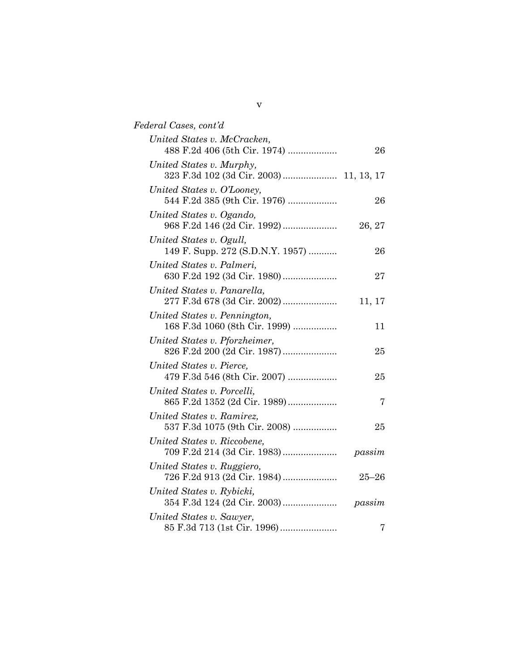| Federal Cases, cont'd                                         |           |
|---------------------------------------------------------------|-----------|
| United States v. McCracken,<br>488 F.2d 406 (5th Cir. 1974)   | 26        |
| United States v. Murphy,                                      |           |
| United States v. O'Looney,<br>544 F.2d 385 (9th Cir. 1976)    | 26        |
| United States v. Ogando,                                      | 26, 27    |
| United States v. Ogull,<br>149 F. Supp. 272 (S.D.N.Y. 1957)   | 26        |
| United States v. Palmeri,<br>630 F.2d 192 (3d Cir. 1980)      | 27        |
| United States v. Panarella,<br>277 F.3d 678 (3d Cir. 2002)    | 11, 17    |
| United States v. Pennington,<br>168 F.3d 1060 (8th Cir. 1999) | 11        |
| United States v. Pforzheimer,<br>826 F.2d 200 (2d Cir. 1987)  | 25        |
| United States v. Pierce,<br>479 F.3d 546 (8th Cir. 2007)      | 25        |
| United States v. Porcelli,<br>865 F.2d 1352 (2d Cir. 1989)    | 7         |
| United States v. Ramirez,<br>537 F.3d 1075 (9th Cir. 2008)    | 25        |
| United States v. Riccobene,<br>709 F.2d 214 (3d Cir. 1983)    | passim    |
| United States v. Ruggiero,<br>726 F.2d 913 (2d Cir. 1984)     | $25 - 26$ |
| United States v. Rybicki,                                     | passim    |
| United States v. Sawyer,                                      | 7         |

v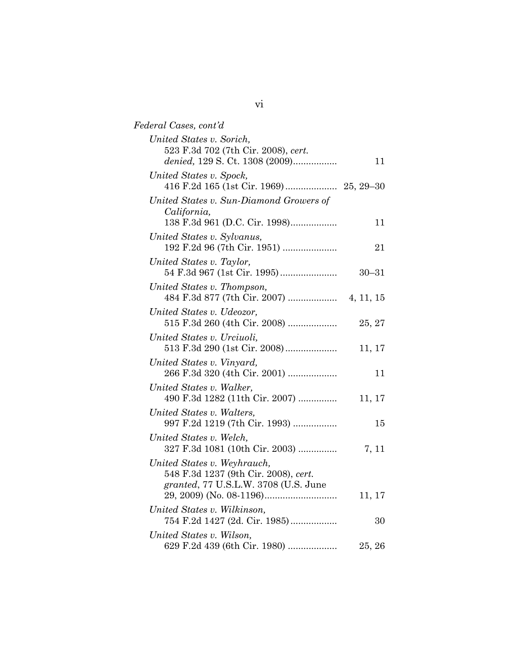| Federal Cases, cont'd                                                                                       |           |
|-------------------------------------------------------------------------------------------------------------|-----------|
| United States v. Sorich,<br>523 F.3d 702 (7th Cir. 2008), cert.<br>denied, 129 S. Ct. 1308 (2009)           | 11        |
| United States v. Spock,                                                                                     |           |
| United States v. Sun-Diamond Growers of<br>California,<br>138 F.3d 961 (D.C. Cir. 1998)                     | 11        |
| United States v. Sylvanus,<br>192 F.2d 96 (7th Cir. 1951)                                                   | 21        |
| United States v. Taylor,                                                                                    | $30 - 31$ |
| United States v. Thompson,                                                                                  |           |
| United States v. Udeozor,<br>515 F.3d 260 (4th Cir. 2008)                                                   | 25, 27    |
| United States v. Urciuoli,<br>513 F.3d 290 (1st Cir. 2008)                                                  | 11, 17    |
| United States v. Vinyard,<br>266 F.3d 320 (4th Cir. 2001)                                                   | 11        |
| United States v. Walker,<br>490 F.3d 1282 (11th Cir. 2007)                                                  | 11, 17    |
| United States v. Walters,<br>997 F.2d 1219 (7th Cir. 1993)                                                  | 15        |
| United States v. Welch,<br>327 F.3d 1081 (10th Cir. 2003)                                                   | 7, 11     |
| United States v. Weyhrauch,<br>548 F.3d 1237 (9th Cir. 2008), cert.<br>granted, 77 U.S.L.W. 3708 (U.S. June | 11, 17    |
| United States v. Wilkinson,<br>754 F.2d 1427 (2d. Cir. 1985)                                                | 30        |
| United States v. Wilson,<br>629 F.2d 439 (6th Cir. 1980)                                                    | 25, 26    |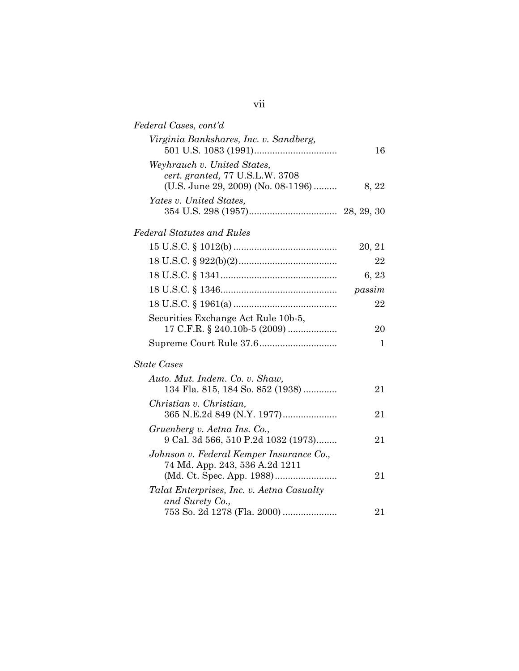| Federal Cases, cont'd                                                                                |        |
|------------------------------------------------------------------------------------------------------|--------|
| Virginia Bankshares, Inc. v. Sandberg,                                                               | 16     |
| Weyhrauch v. United States,<br>cert. granted, 77 U.S.L.W. 3708<br>(U.S. June 29, 2009) (No. 08-1196) | 8, 22  |
| Yates v. United States,                                                                              |        |
| Federal Statutes and Rules                                                                           |        |
|                                                                                                      | 20, 21 |
|                                                                                                      | 22     |
|                                                                                                      | 6, 23  |
|                                                                                                      | passim |
|                                                                                                      | 22     |
| Securities Exchange Act Rule 10b-5,<br>17 C.F.R. § 240.10b-5 (2009)                                  | 20     |
|                                                                                                      | 1      |
| <b>State Cases</b>                                                                                   |        |
| Auto. Mut. Indem. Co. v. Shaw,<br>134 Fla. 815, 184 So. 852 (1938)                                   | 21     |
| Christian v. Christian,<br>365 N.E.2d 849 (N.Y. 1977)                                                | 21     |
| Gruenberg v. Aetna Ins. Co.,<br>9 Cal. 3d 566, 510 P.2d 1032 (1973)                                  | 21     |
| Johnson v. Federal Kemper Insurance Co.,<br>74 Md. App. 243, 536 A.2d 1211                           | 21     |
| Talat Enterprises, Inc. v. Aetna Casualty<br>and Surety Co.,<br>753 So. 2d 1278 (Fla. 2000)          | 21     |
|                                                                                                      |        |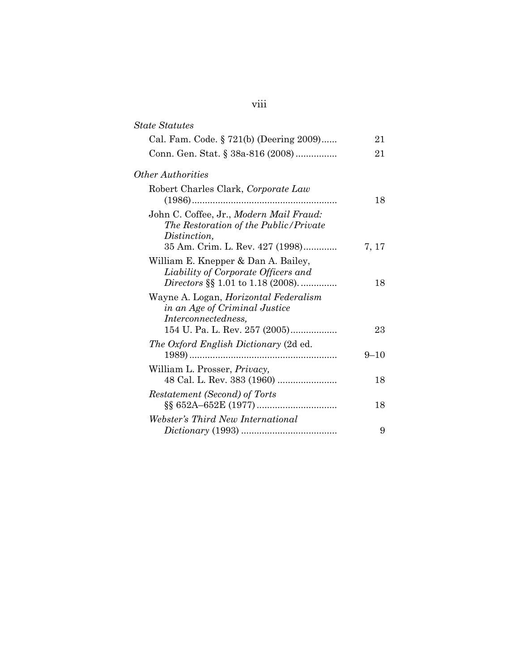| <b>State Statutes</b>                                                                                           |          |
|-----------------------------------------------------------------------------------------------------------------|----------|
| Cal. Fam. Code. § 721(b) (Deering 2009)                                                                         | 21       |
| Conn. Gen. Stat. § 38a-816 (2008)                                                                               | 21       |
| <i>Other Authorities</i>                                                                                        |          |
| Robert Charles Clark, Corporate Law                                                                             | 18       |
| John C. Coffee, Jr., Modern Mail Fraud:<br>The Restoration of the Public/Private<br>Distinction,                |          |
| 35 Am. Crim. L. Rev. 427 (1998)                                                                                 | 7, 17    |
| William E. Knepper & Dan A. Bailey,<br>Liability of Corporate Officers and<br>Directors §§ 1.01 to 1.18 (2008). | 18       |
| Wayne A. Logan, <i>Horizontal Federalism</i><br>in an Age of Criminal Justice<br><i>Interconnectedness,</i>     |          |
| 154 U. Pa. L. Rev. 257 (2005)                                                                                   | 23       |
| The Oxford English Dictionary (2d ed.                                                                           | $9 - 10$ |
| William L. Prosser, <i>Privacy</i> ,                                                                            | 18       |
| Restatement (Second) of Torts                                                                                   | 18       |
| Webster's Third New International                                                                               | 9        |

# viii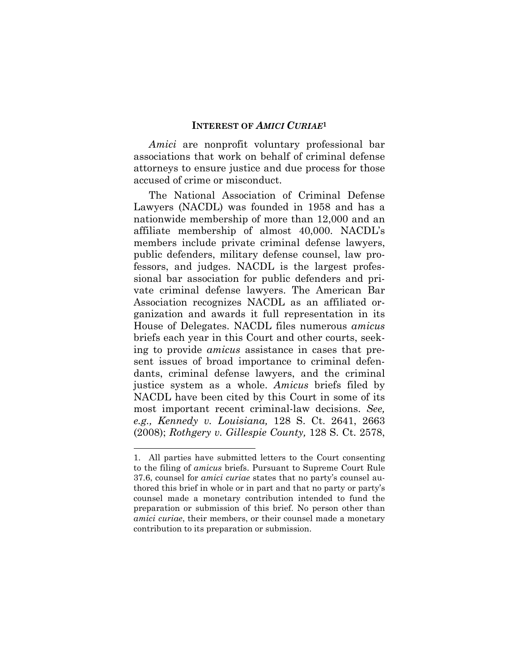#### **INTEREST OF** *AMICI CURIAE***<sup>1</sup>**

*Amici* are nonprofit voluntary professional bar associations that work on behalf of criminal defense attorneys to ensure justice and due process for those accused of crime or misconduct.

The National Association of Criminal Defense Lawyers (NACDL) was founded in 1958 and has a nationwide membership of more than 12,000 and an affiliate membership of almost 40,000. NACDL's members include private criminal defense lawyers, public defenders, military defense counsel, law professors, and judges. NACDL is the largest professional bar association for public defenders and private criminal defense lawyers. The American Bar Association recognizes NACDL as an affiliated organization and awards it full representation in its House of Delegates. NACDL files numerous *amicus* briefs each year in this Court and other courts, seeking to provide *amicus* assistance in cases that present issues of broad importance to criminal defendants, criminal defense lawyers, and the criminal justice system as a whole. *Amicus* briefs filed by NACDL have been cited by this Court in some of its most important recent criminal-law decisions. *See, e.g., Kennedy v. Louisiana,* 128 S. Ct. 2641, 2663 (2008); *Rothgery v. Gillespie County,* 128 S. Ct. 2578,

<sup>1.</sup> All parties have submitted letters to the Court consenting to the filing of *amicus* briefs. Pursuant to Supreme Court Rule 37.6, counsel for *amici curiae* states that no party's counsel authored this brief in whole or in part and that no party or party's counsel made a monetary contribution intended to fund the preparation or submission of this brief. No person other than *amici curiae*, their members, or their counsel made a monetary contribution to its preparation or submission.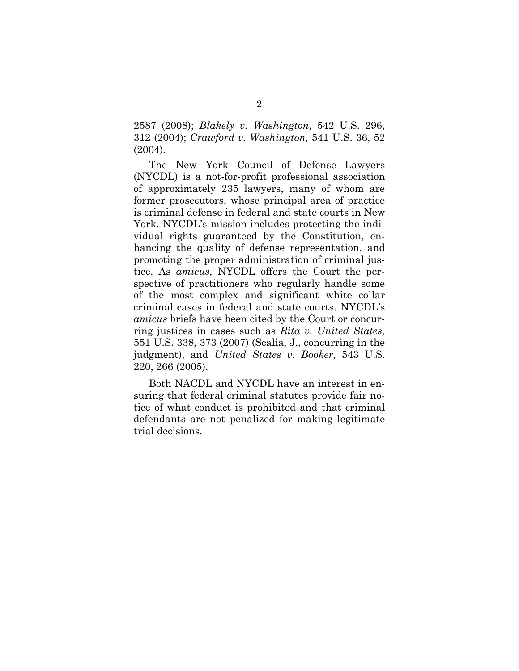2587 (2008); *Blakely v. Washington,* 542 U.S. 296, 312 (2004); *Crawford v. Washington,* 541 U.S. 36, 52 (2004).

The New York Council of Defense Lawyers (NYCDL) is a not-for-profit professional association of approximately 235 lawyers, many of whom are former prosecutors, whose principal area of practice is criminal defense in federal and state courts in New York. NYCDL's mission includes protecting the individual rights guaranteed by the Constitution, enhancing the quality of defense representation, and promoting the proper administration of criminal justice. As *amicus,* NYCDL offers the Court the perspective of practitioners who regularly handle some of the most complex and significant white collar criminal cases in federal and state courts. NYCDL's *amicus* briefs have been cited by the Court or concurring justices in cases such as *Rita v. United States,* 551 U.S. 338, 373 (2007) (Scalia, J., concurring in the judgment), and *United States v. Booker,* 543 U.S. 220, 266 (2005).

Both NACDL and NYCDL have an interest in ensuring that federal criminal statutes provide fair notice of what conduct is prohibited and that criminal defendants are not penalized for making legitimate trial decisions.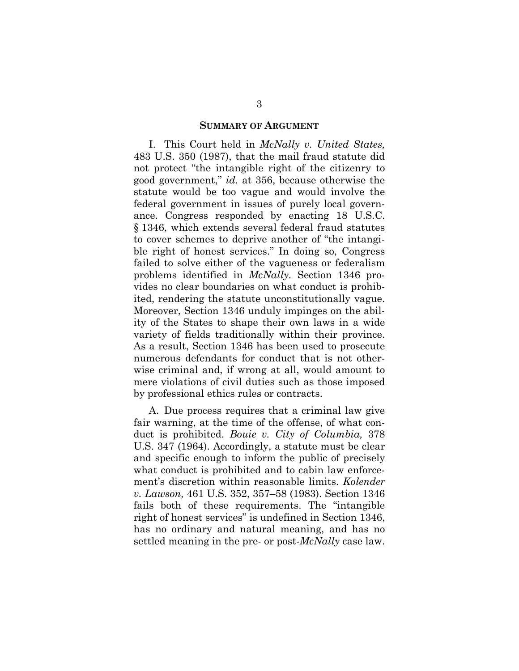#### **SUMMARY OF ARGUMENT**

I. This Court held in *McNally v. United States,* 483 U.S. 350 (1987), that the mail fraud statute did not protect "the intangible right of the citizenry to good government," *id.* at 356, because otherwise the statute would be too vague and would involve the federal government in issues of purely local governance. Congress responded by enacting 18 U.S.C. § 1346, which extends several federal fraud statutes to cover schemes to deprive another of "the intangible right of honest services." In doing so, Congress failed to solve either of the vagueness or federalism problems identified in *McNally.* Section 1346 provides no clear boundaries on what conduct is prohibited, rendering the statute unconstitutionally vague. Moreover, Section 1346 unduly impinges on the ability of the States to shape their own laws in a wide variety of fields traditionally within their province. As a result, Section 1346 has been used to prosecute numerous defendants for conduct that is not otherwise criminal and, if wrong at all, would amount to mere violations of civil duties such as those imposed by professional ethics rules or contracts.

A. Due process requires that a criminal law give fair warning, at the time of the offense, of what conduct is prohibited. *Bouie v. City of Columbia,* 378 U.S. 347 (1964). Accordingly, a statute must be clear and specific enough to inform the public of precisely what conduct is prohibited and to cabin law enforcement's discretion within reasonable limits. *Kolender v. Lawson,* 461 U.S. 352, 357–58 (1983). Section 1346 fails both of these requirements. The "intangible right of honest services" is undefined in Section 1346, has no ordinary and natural meaning, and has no settled meaning in the pre- or post-*McNally* case law.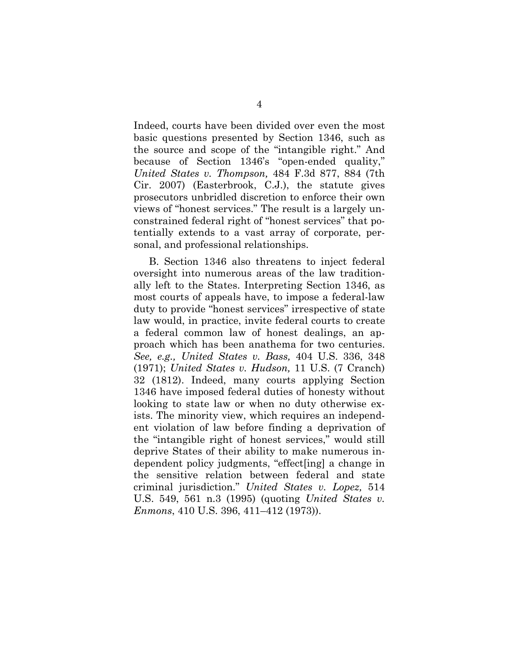Indeed, courts have been divided over even the most basic questions presented by Section 1346, such as the source and scope of the "intangible right." And because of Section 1346's "open-ended quality," *United States v. Thompson,* 484 F.3d 877, 884 (7th Cir. 2007) (Easterbrook, C.J.), the statute gives prosecutors unbridled discretion to enforce their own views of "honest services." The result is a largely unconstrained federal right of "honest services" that potentially extends to a vast array of corporate, personal, and professional relationships.

B. Section 1346 also threatens to inject federal oversight into numerous areas of the law traditionally left to the States. Interpreting Section 1346, as most courts of appeals have, to impose a federal-law duty to provide "honest services" irrespective of state law would, in practice, invite federal courts to create a federal common law of honest dealings, an approach which has been anathema for two centuries. *See, e.g., United States v. Bass,* 404 U.S. 336, 348 (1971); *United States v. Hudson,* 11 U.S. (7 Cranch) 32 (1812). Indeed, many courts applying Section 1346 have imposed federal duties of honesty without looking to state law or when no duty otherwise exists. The minority view, which requires an independent violation of law before finding a deprivation of the "intangible right of honest services," would still deprive States of their ability to make numerous independent policy judgments, "effect[ing] a change in the sensitive relation between federal and state criminal jurisdiction." *United States v. Lopez,* 514 U.S. 549, 561 n.3 (1995) (quoting *United States v. Enmons*, 410 U.S. 396, 411–412 (1973)).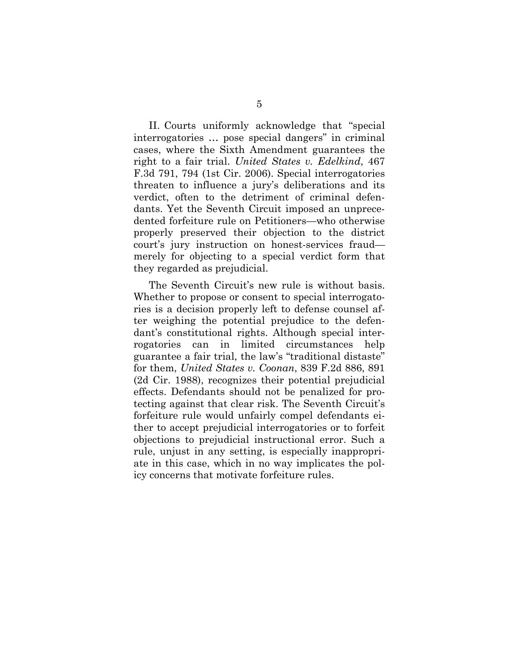II. Courts uniformly acknowledge that "special interrogatories … pose special dangers" in criminal cases, where the Sixth Amendment guarantees the right to a fair trial. *United States v. Edelkind*, 467 F.3d 791, 794 (1st Cir. 2006). Special interrogatories threaten to influence a jury's deliberations and its verdict, often to the detriment of criminal defendants. Yet the Seventh Circuit imposed an unprecedented forfeiture rule on Petitioners—who otherwise properly preserved their objection to the district court's jury instruction on honest-services fraud merely for objecting to a special verdict form that they regarded as prejudicial.

The Seventh Circuit's new rule is without basis. Whether to propose or consent to special interrogatories is a decision properly left to defense counsel after weighing the potential prejudice to the defendant's constitutional rights. Although special interrogatories can in limited circumstances help guarantee a fair trial, the law's "traditional distaste" for them, *United States v. Coonan*, 839 F.2d 886, 891 (2d Cir. 1988), recognizes their potential prejudicial effects. Defendants should not be penalized for protecting against that clear risk. The Seventh Circuit's forfeiture rule would unfairly compel defendants either to accept prejudicial interrogatories or to forfeit objections to prejudicial instructional error. Such a rule, unjust in any setting, is especially inappropriate in this case, which in no way implicates the policy concerns that motivate forfeiture rules.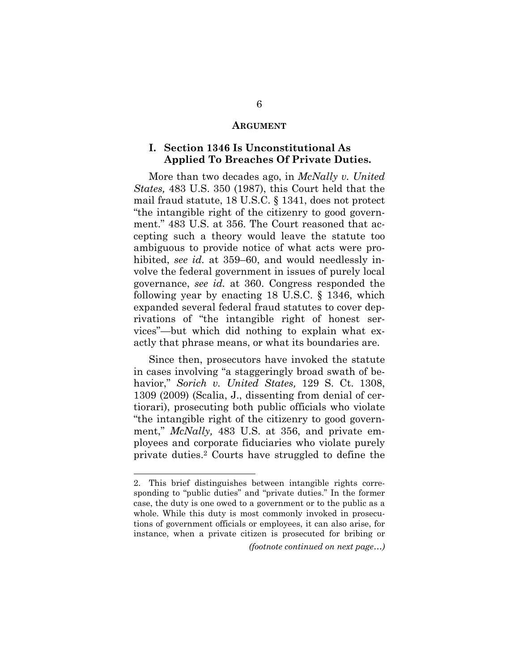#### **ARGUMENT**

#### **I. Section 1346 Is Unconstitutional As Applied To Breaches Of Private Duties.**

More than two decades ago, in *McNally v. United States,* 483 U.S. 350 (1987), this Court held that the mail fraud statute, 18 U.S.C. § 1341, does not protect "the intangible right of the citizenry to good government." 483 U.S. at 356. The Court reasoned that accepting such a theory would leave the statute too ambiguous to provide notice of what acts were prohibited, *see id.* at 359–60, and would needlessly involve the federal government in issues of purely local governance, *see id.* at 360. Congress responded the following year by enacting 18 U.S.C. § 1346, which expanded several federal fraud statutes to cover deprivations of "the intangible right of honest services"—but which did nothing to explain what exactly that phrase means, or what its boundaries are.

Since then, prosecutors have invoked the statute in cases involving "a staggeringly broad swath of behavior," *Sorich v. United States,* 129 S. Ct. 1308, 1309 (2009) (Scalia, J., dissenting from denial of certiorari), prosecuting both public officials who violate "the intangible right of the citizenry to good government," *McNally,* 483 U.S. at 356, and private employees and corporate fiduciaries who violate purely private duties.2 Courts have struggled to define the

<sup>2.</sup> This brief distinguishes between intangible rights corresponding to "public duties" and "private duties." In the former case, the duty is one owed to a government or to the public as a whole. While this duty is most commonly invoked in prosecutions of government officials or employees, it can also arise, for instance, when a private citizen is prosecuted for bribing or

*<sup>(</sup>footnote continued on next page…)*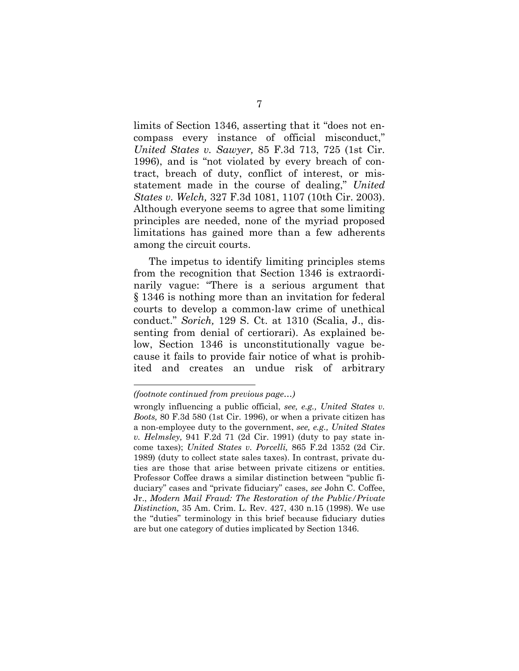limits of Section 1346, asserting that it "does not encompass every instance of official misconduct," *United States v. Sawyer,* 85 F.3d 713, 725 (1st Cir. 1996), and is "not violated by every breach of contract, breach of duty, conflict of interest, or misstatement made in the course of dealing," *United States v. Welch,* 327 F.3d 1081, 1107 (10th Cir. 2003). Although everyone seems to agree that some limiting principles are needed, none of the myriad proposed limitations has gained more than a few adherents among the circuit courts.

The impetus to identify limiting principles stems from the recognition that Section 1346 is extraordinarily vague: "There is a serious argument that § 1346 is nothing more than an invitation for federal courts to develop a common-law crime of unethical conduct." *Sorich,* 129 S. Ct. at 1310 (Scalia, J., dissenting from denial of certiorari). As explained below, Section 1346 is unconstitutionally vague because it fails to provide fair notice of what is prohibited and creates an undue risk of arbitrary

*<sup>(</sup>footnote continued from previous page…)* 

wrongly influencing a public official, *see, e.g., United States v. Boots,* 80 F.3d 580 (1st Cir. 1996), or when a private citizen has a non-employee duty to the government, *see, e.g., United States v. Helmsley,* 941 F.2d 71 (2d Cir. 1991) (duty to pay state income taxes); *United States v. Porcelli,* 865 F.2d 1352 (2d Cir. 1989) (duty to collect state sales taxes). In contrast, private duties are those that arise between private citizens or entities. Professor Coffee draws a similar distinction between "public fiduciary" cases and "private fiduciary" cases, *see* John C. Coffee, Jr., *Modern Mail Fraud: The Restoration of the Public/Private Distinction,* 35 Am. Crim. L. Rev. 427, 430 n.15 (1998). We use the "duties" terminology in this brief because fiduciary duties are but one category of duties implicated by Section 1346.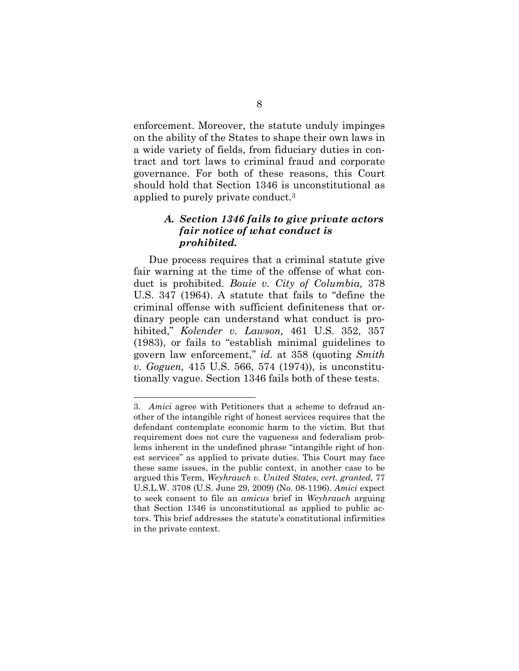enforcement. Moreover, the statute unduly impinges on the ability of the States to shape their own laws in a wide variety of fields, from fiduciary duties in contract and tort laws to criminal fraud and corporate governance. For both of these reasons, this Court should hold that Section 1346 is unconstitutional as applied to purely private conduct.3

## *A. Section 1346 fails to give private actors fair notice of what conduct is prohibited.*

Due process requires that a criminal statute give fair warning at the time of the offense of what conduct is prohibited. *Bouie v. City of Columbia,* 378 U.S. 347 (1964). A statute that fails to "define the criminal offense with sufficient definiteness that ordinary people can understand what conduct is prohibited," *Kolender v. Lawson,* 461 U.S. 352, 357 (1983), or fails to "establish minimal guidelines to govern law enforcement," *id.* at 358 (quoting *Smith v. Goguen,* 415 U.S. 566, 574 (1974)), is unconstitutionally vague. Section 1346 fails both of these tests.

<sup>3.</sup> *Amici* agree with Petitioners that a scheme to defraud another of the intangible right of honest services requires that the defendant contemplate economic harm to the victim. But that requirement does not cure the vagueness and federalism problems inherent in the undefined phrase "intangible right of honest services" as applied to private duties. This Court may face these same issues, in the public context, in another case to be argued this Term, *Weyhrauch v. United States, cert. granted,* 77 U.S.L.W. 3708 (U.S. June 29, 2009) (No. 08-1196). *Amici* expect to seek consent to file an *amicus* brief in *Weyhrauch* arguing that Section 1346 is unconstitutional as applied to public actors. This brief addresses the statute's constitutional infirmities in the private context.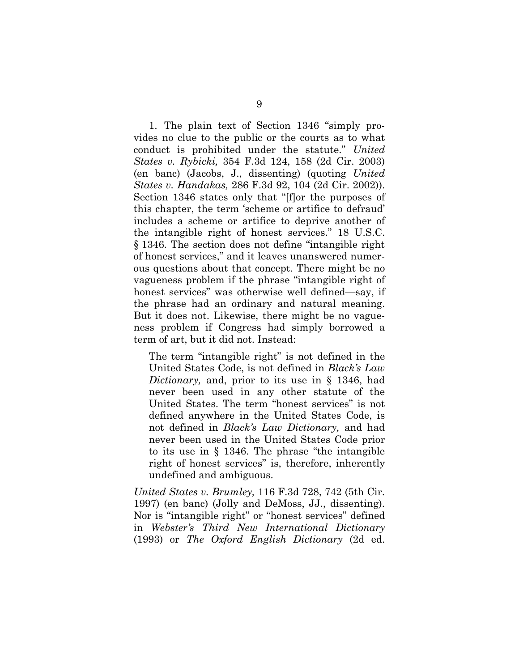1. The plain text of Section 1346 "simply provides no clue to the public or the courts as to what conduct is prohibited under the statute." *United States v. Rybicki,* 354 F.3d 124, 158 (2d Cir. 2003) (en banc) (Jacobs, J., dissenting) (quoting *United States v. Handakas,* 286 F.3d 92, 104 (2d Cir. 2002)). Section 1346 states only that "[f]or the purposes of this chapter, the term 'scheme or artifice to defraud' includes a scheme or artifice to deprive another of the intangible right of honest services." 18 U.S.C. § 1346. The section does not define "intangible right of honest services," and it leaves unanswered numerous questions about that concept. There might be no vagueness problem if the phrase "intangible right of honest services" was otherwise well defined—say, if the phrase had an ordinary and natural meaning. But it does not. Likewise, there might be no vagueness problem if Congress had simply borrowed a term of art, but it did not. Instead:

The term "intangible right" is not defined in the United States Code, is not defined in *Black's Law Dictionary,* and, prior to its use in § 1346, had never been used in any other statute of the United States. The term "honest services" is not defined anywhere in the United States Code, is not defined in *Black's Law Dictionary,* and had never been used in the United States Code prior to its use in § 1346. The phrase "the intangible right of honest services" is, therefore, inherently undefined and ambiguous.

*United States v. Brumley,* 116 F.3d 728, 742 (5th Cir. 1997) (en banc) (Jolly and DeMoss, JJ., dissenting). Nor is "intangible right" or "honest services" defined in *Webster's Third New International Dictionary* (1993) or *The Oxford English Dictionary* (2d ed.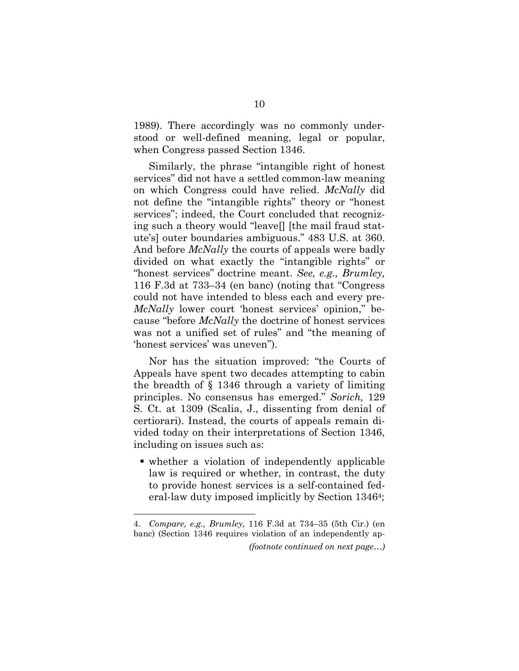1989). There accordingly was no commonly understood or well-defined meaning, legal or popular, when Congress passed Section 1346.

Similarly, the phrase "intangible right of honest services" did not have a settled common-law meaning on which Congress could have relied. *McNally* did not define the "intangible rights" theory or "honest services"; indeed, the Court concluded that recognizing such a theory would "leave[] [the mail fraud statute's] outer boundaries ambiguous." 483 U.S. at 360. And before *McNally* the courts of appeals were badly divided on what exactly the "intangible rights" or "honest services" doctrine meant. *See, e.g., Brumley,* 116 F.3d at 733–34 (en banc) (noting that "Congress could not have intended to bless each and every pre-*McNally* lower court 'honest services' opinion," because "before *McNally* the doctrine of honest services was not a unified set of rules" and "the meaning of 'honest services' was uneven").

Nor has the situation improved: "the Courts of Appeals have spent two decades attempting to cabin the breadth of § 1346 through a variety of limiting principles. No consensus has emerged." *Sorich,* 129 S. Ct. at 1309 (Scalia, J., dissenting from denial of certiorari). Instead, the courts of appeals remain divided today on their interpretations of Section 1346, including on issues such as:

 whether a violation of independently applicable law is required or whether, in contrast, the duty to provide honest services is a self-contained federal-law duty imposed implicitly by Section 13464;

<sup>4.</sup> *Compare, e.g., Brumley,* 116 F.3d at 734–35 (5th Cir.) (en banc) (Section 1346 requires violation of an independently ap- *(footnote continued on next page…)*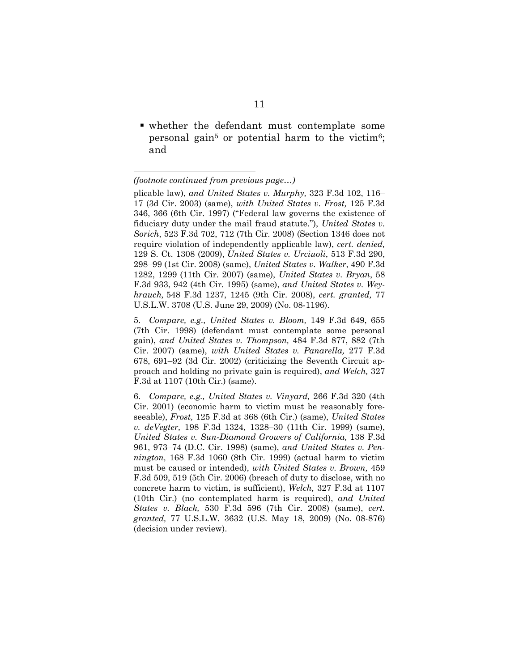whether the defendant must contemplate some personal gain<sup>5</sup> or potential harm to the victim<sup>6</sup>; and

*<sup>(</sup>footnote continued from previous page…)* 

plicable law), *and United States v. Murphy,* 323 F.3d 102, 116– 17 (3d Cir. 2003) (same), *with United States v. Frost,* 125 F.3d 346, 366 (6th Cir. 1997) ("Federal law governs the existence of fiduciary duty under the mail fraud statute."), *United States v. Sorich*, 523 F.3d 702, 712 (7th Cir. 2008) (Section 1346 does not require violation of independently applicable law), *cert. denied,* 129 S. Ct. 1308 (2009), *United States v. Urciuoli*, 513 F.3d 290, 298–99 (1st Cir. 2008) (same), *United States v. Walker*, 490 F.3d 1282, 1299 (11th Cir. 2007) (same), *United States v. Bryan*, 58 F.3d 933, 942 (4th Cir. 1995) (same), *and United States v. Weyhrauch,* 548 F.3d 1237, 1245 (9th Cir. 2008), *cert. granted,* 77 U.S.L.W. 3708 (U.S. June 29, 2009) (No. 08-1196).

<sup>5.</sup> *Compare, e.g., United States v. Bloom,* 149 F.3d 649, 655 (7th Cir. 1998) (defendant must contemplate some personal gain), *and United States v. Thompson,* 484 F.3d 877, 882 (7th Cir. 2007) (same), *with United States v. Panarella,* 277 F.3d 678, 691–92 (3d Cir. 2002) (criticizing the Seventh Circuit approach and holding no private gain is required), *and Welch,* 327 F.3d at 1107 (10th Cir.) (same).

<sup>6.</sup> *Compare, e.g., United States v. Vinyard,* 266 F.3d 320 (4th Cir. 2001) (economic harm to victim must be reasonably foreseeable), *Frost,* 125 F.3d at 368 (6th Cir.) (same), *United States v. deVegter,* 198 F.3d 1324, 1328–30 (11th Cir. 1999) (same), *United States v. Sun-Diamond Growers of California,* 138 F.3d 961, 973–74 (D.C. Cir. 1998) (same), *and United States v. Pennington,* 168 F.3d 1060 (8th Cir. 1999) (actual harm to victim must be caused or intended), *with United States v. Brown,* 459 F.3d 509, 519 (5th Cir. 2006) (breach of duty to disclose, with no concrete harm to victim, is sufficient), *Welch,* 327 F.3d at 1107 (10th Cir.) (no contemplated harm is required), *and United States v. Black,* 530 F.3d 596 (7th Cir. 2008) (same), *cert. granted,* 77 U.S.L.W. 3632 (U.S. May 18, 2009) (No. 08-876) (decision under review).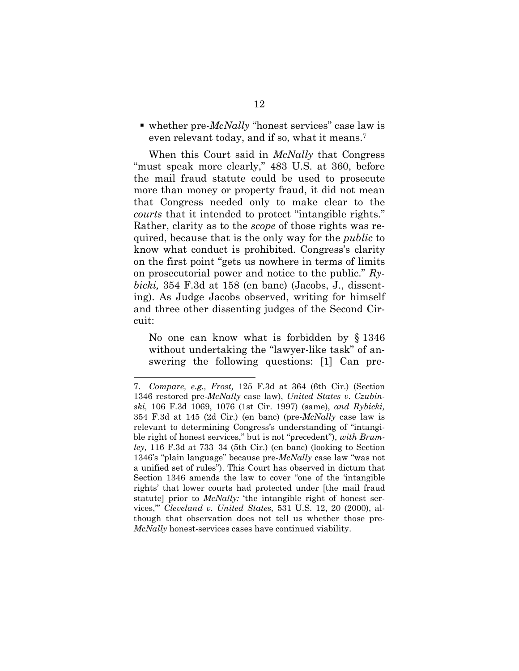■ whether pre-*McNally* "honest services" case law is even relevant today, and if so, what it means.7

When this Court said in *McNally* that Congress "must speak more clearly," 483 U.S. at 360, before the mail fraud statute could be used to prosecute more than money or property fraud, it did not mean that Congress needed only to make clear to the *courts* that it intended to protect "intangible rights." Rather, clarity as to the *scope* of those rights was required, because that is the only way for the *public* to know what conduct is prohibited. Congress's clarity on the first point "gets us nowhere in terms of limits on prosecutorial power and notice to the public." *Rybicki,* 354 F.3d at 158 (en banc) (Jacobs, J., dissenting). As Judge Jacobs observed, writing for himself and three other dissenting judges of the Second Circuit:

No one can know what is forbidden by § 1346 without undertaking the "lawyer-like task" of answering the following questions: [1] Can pre-

<sup>7.</sup> *Compare, e.g., Frost,* 125 F.3d at 364 (6th Cir.) (Section 1346 restored pre-*McNally* case law), *United States v. Czubinski,* 106 F.3d 1069, 1076 (1st Cir. 1997) (same), *and Rybicki,* 354 F.3d at 145 (2d Cir.) (en banc) (pre-*McNally* case law is relevant to determining Congress's understanding of "intangible right of honest services," but is not "precedent"), *with Brumley,* 116 F.3d at 733–34 (5th Cir.) (en banc) (looking to Section 1346's "plain language" because pre-*McNally* case law "was not a unified set of rules"). This Court has observed in dictum that Section 1346 amends the law to cover "one of the 'intangible rights' that lower courts had protected under [the mail fraud statute] prior to *McNally:* 'the intangible right of honest services,'" *Cleveland v. United States,* 531 U.S. 12, 20 (2000), although that observation does not tell us whether those pre-*McNally* honest-services cases have continued viability.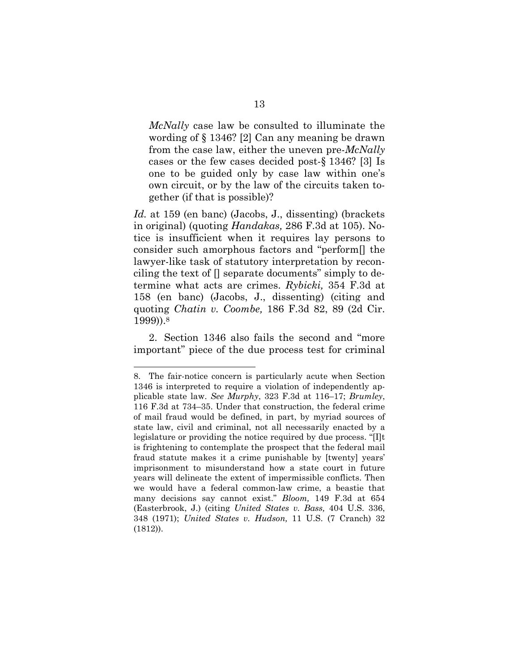*McNally* case law be consulted to illuminate the wording of § 1346? [2] Can any meaning be drawn from the case law, either the uneven pre-*McNally* cases or the few cases decided post-§ 1346? [3] Is one to be guided only by case law within one's own circuit, or by the law of the circuits taken together (if that is possible)?

*Id.* at 159 (en banc) (Jacobs, J., dissenting) (brackets in original) (quoting *Handakas,* 286 F.3d at 105). Notice is insufficient when it requires lay persons to consider such amorphous factors and "perform[] the lawyer-like task of statutory interpretation by reconciling the text of [] separate documents" simply to determine what acts are crimes. *Rybicki,* 354 F.3d at 158 (en banc) (Jacobs, J., dissenting) (citing and quoting *Chatin v. Coombe,* 186 F.3d 82, 89 (2d Cir. 1999)).8

2. Section 1346 also fails the second and "more important" piece of the due process test for criminal

<sup>8.</sup> The fair-notice concern is particularly acute when Section 1346 is interpreted to require a violation of independently applicable state law. *See Murphy*, 323 F.3d at 116–17; *Brumley*, 116 F.3d at 734–35. Under that construction, the federal crime of mail fraud would be defined, in part, by myriad sources of state law, civil and criminal, not all necessarily enacted by a legislature or providing the notice required by due process. "[I]t is frightening to contemplate the prospect that the federal mail fraud statute makes it a crime punishable by [twenty] years' imprisonment to misunderstand how a state court in future years will delineate the extent of impermissible conflicts. Then we would have a federal common-law crime, a beastie that many decisions say cannot exist." *Bloom,* 149 F.3d at 654 (Easterbrook, J.) (citing *United States v. Bass,* 404 U.S. 336, 348 (1971); *United States v. Hudson,* 11 U.S. (7 Cranch) 32 (1812)).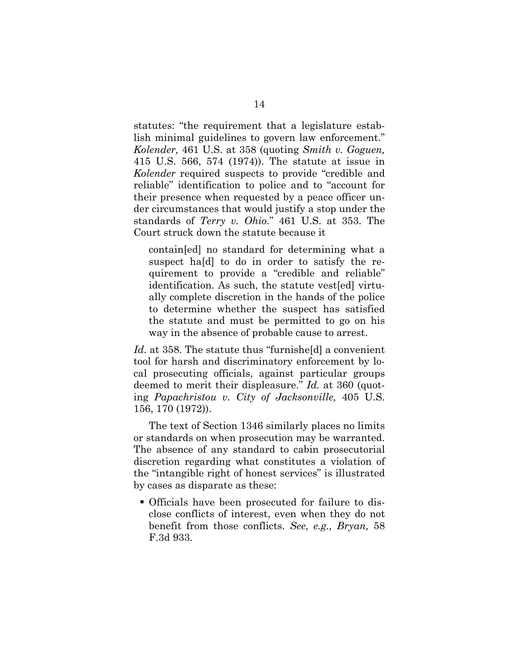statutes: "the requirement that a legislature establish minimal guidelines to govern law enforcement." *Kolender,* 461 U.S. at 358 (quoting *Smith v. Goguen,* 415 U.S. 566, 574 (1974)). The statute at issue in *Kolender* required suspects to provide "credible and reliable" identification to police and to "account for their presence when requested by a peace officer under circumstances that would justify a stop under the standards of *Terry v. Ohio*." 461 U.S. at 353. The Court struck down the statute because it

contain[ed] no standard for determining what a suspect ha[d] to do in order to satisfy the requirement to provide a "credible and reliable" identification. As such, the statute vest[ed] virtually complete discretion in the hands of the police to determine whether the suspect has satisfied the statute and must be permitted to go on his way in the absence of probable cause to arrest.

*Id.* at 358. The statute thus "furnisheld a convenient" tool for harsh and discriminatory enforcement by local prosecuting officials, against particular groups deemed to merit their displeasure." *Id.* at 360 (quoting *Papachristou v. City of Jacksonville,* 405 U.S. 156, 170 (1972)).

The text of Section 1346 similarly places no limits or standards on when prosecution may be warranted. The absence of any standard to cabin prosecutorial discretion regarding what constitutes a violation of the "intangible right of honest services" is illustrated by cases as disparate as these:

 Officials have been prosecuted for failure to disclose conflicts of interest, even when they do not benefit from those conflicts. *See, e.g., Bryan,* 58 F.3d 933.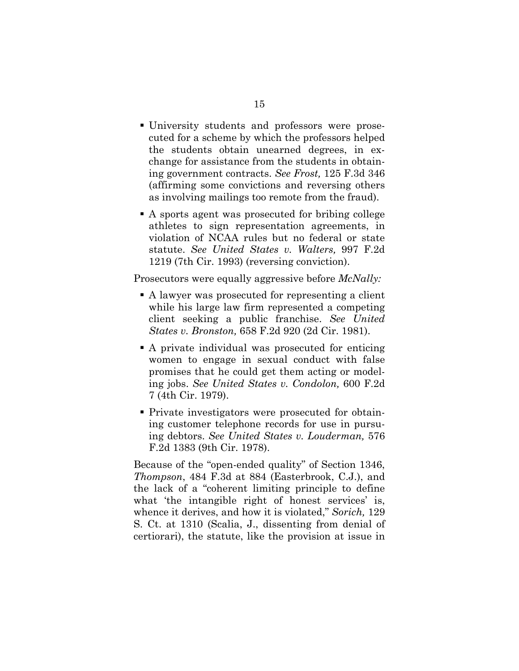- University students and professors were prosecuted for a scheme by which the professors helped the students obtain unearned degrees, in exchange for assistance from the students in obtaining government contracts. *See Frost,* 125 F.3d 346 (affirming some convictions and reversing others as involving mailings too remote from the fraud).
- A sports agent was prosecuted for bribing college athletes to sign representation agreements, in violation of NCAA rules but no federal or state statute. *See United States v. Walters,* 997 F.2d 1219 (7th Cir. 1993) (reversing conviction).

Prosecutors were equally aggressive before *McNally:*

- A lawyer was prosecuted for representing a client while his large law firm represented a competing client seeking a public franchise. *See United States v. Bronston,* 658 F.2d 920 (2d Cir. 1981).
- A private individual was prosecuted for enticing women to engage in sexual conduct with false promises that he could get them acting or modeling jobs. *See United States v. Condolon,* 600 F.2d 7 (4th Cir. 1979).
- Private investigators were prosecuted for obtaining customer telephone records for use in pursuing debtors. *See United States v. Louderman,* 576 F.2d 1383 (9th Cir. 1978).

Because of the "open-ended quality" of Section 1346, *Thompson*, 484 F.3d at 884 (Easterbrook, C.J.), and the lack of a "coherent limiting principle to define what 'the intangible right of honest services' is, whence it derives, and how it is violated," *Sorich,* 129 S. Ct. at 1310 (Scalia, J., dissenting from denial of certiorari), the statute, like the provision at issue in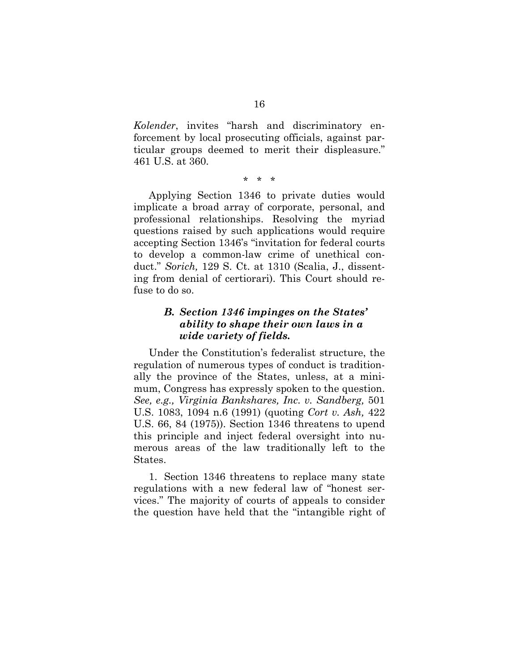*Kolender*, invites "harsh and discriminatory enforcement by local prosecuting officials, against particular groups deemed to merit their displeasure." 461 U.S. at 360.

#### \* \* \*

Applying Section 1346 to private duties would implicate a broad array of corporate, personal, and professional relationships. Resolving the myriad questions raised by such applications would require accepting Section 1346's "invitation for federal courts to develop a common-law crime of unethical conduct." *Sorich,* 129 S. Ct. at 1310 (Scalia, J., dissenting from denial of certiorari). This Court should refuse to do so.

## *B. Section 1346 impinges on the States' ability to shape their own laws in a wide variety of fields.*

Under the Constitution's federalist structure, the regulation of numerous types of conduct is traditionally the province of the States, unless, at a minimum, Congress has expressly spoken to the question. *See, e.g., Virginia Bankshares, Inc. v. Sandberg,* 501 U.S. 1083, 1094 n.6 (1991) (quoting *Cort v. Ash,* 422 U.S. 66, 84 (1975)). Section 1346 threatens to upend this principle and inject federal oversight into numerous areas of the law traditionally left to the States.

1. Section 1346 threatens to replace many state regulations with a new federal law of "honest services." The majority of courts of appeals to consider the question have held that the "intangible right of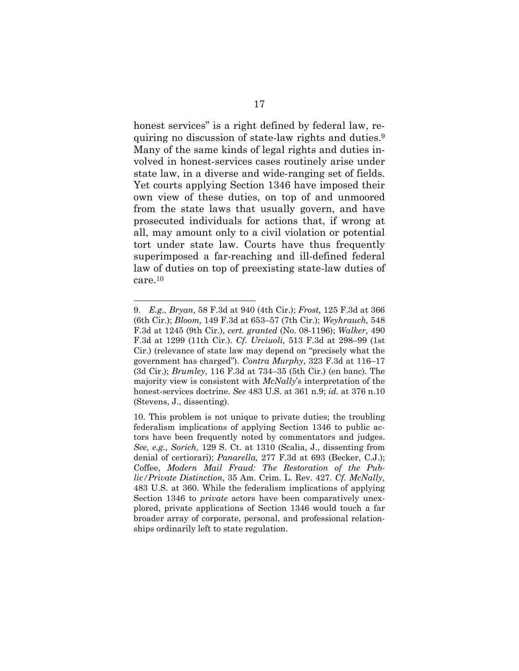honest services" is a right defined by federal law, requiring no discussion of state-law rights and duties.9 Many of the same kinds of legal rights and duties involved in honest-services cases routinely arise under state law, in a diverse and wide-ranging set of fields. Yet courts applying Section 1346 have imposed their own view of these duties, on top of and unmoored from the state laws that usually govern, and have prosecuted individuals for actions that, if wrong at all, may amount only to a civil violation or potential tort under state law. Courts have thus frequently superimposed a far-reaching and ill-defined federal law of duties on top of preexisting state-law duties of care.10

<sup>9.</sup> *E.g., Bryan,* 58 F.3d at 940 (4th Cir.); *Frost,* 125 F.3d at 366 (6th Cir.); *Bloom,* 149 F.3d at 653–57 (7th Cir.); *Weyhrauch,* 548 F.3d at 1245 (9th Cir.), *cert. granted* (No. 08-1196); *Walker,* 490 F.3d at 1299 (11th Cir.). *Cf. Urciuoli,* 513 F.3d at 298–99 (1st Cir.) (relevance of state law may depend on "precisely what the government has charged"). *Contra Murphy*, 323 F.3d at 116–17 (3d Cir.); *Brumley*, 116 F.3d at 734–35 (5th Cir.) (en banc). The majority view is consistent with *McNally*'s interpretation of the honest-services doctrine. *See* 483 U.S. at 361 n.9; *id.* at 376 n.10 (Stevens, J., dissenting).

<sup>10.</sup> This problem is not unique to private duties; the troubling federalism implications of applying Section 1346 to public actors have been frequently noted by commentators and judges. *See, e.g., Sorich,* 129 S. Ct. at 1310 (Scalia, J., dissenting from denial of certiorari); *Panarella,* 277 F.3d at 693 (Becker, C.J.); Coffee, *Modern Mail Fraud: The Restoration of the Public/Private Distinction,* 35 Am. Crim. L. Rev. 427. *Cf. McNally,* 483 U.S. at 360. While the federalism implications of applying Section 1346 to *private* actors have been comparatively unexplored, private applications of Section 1346 would touch a far broader array of corporate, personal, and professional relationships ordinarily left to state regulation.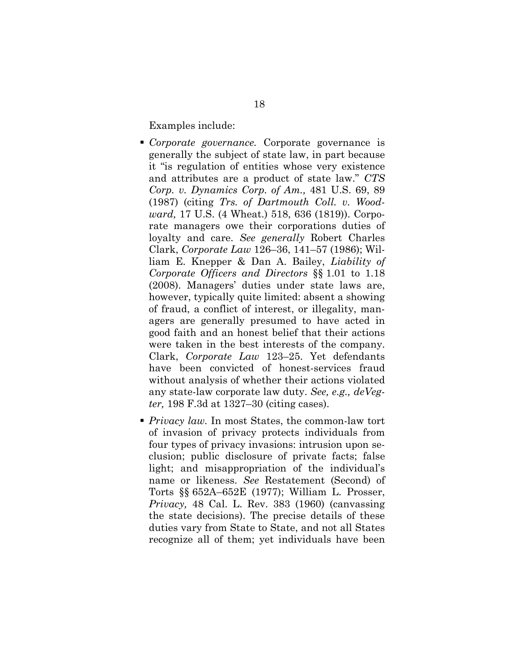Examples include:

- *Corporate governance.* Corporate governance is generally the subject of state law, in part because it "is regulation of entities whose very existence and attributes are a product of state law." *CTS Corp. v. Dynamics Corp. of Am.,* 481 U.S. 69, 89 (1987) (citing *Trs. of Dartmouth Coll. v. Woodward,* 17 U.S. (4 Wheat.) 518, 636 (1819)). Corporate managers owe their corporations duties of loyalty and care. *See generally* Robert Charles Clark, *Corporate Law* 126–36, 141–57 (1986); William E. Knepper & Dan A. Bailey, *Liability of Corporate Officers and Directors* §§ 1.01 to 1.18 (2008). Managers' duties under state laws are, however, typically quite limited: absent a showing of fraud, a conflict of interest, or illegality, managers are generally presumed to have acted in good faith and an honest belief that their actions were taken in the best interests of the company. Clark, *Corporate Law* 123–25. Yet defendants have been convicted of honest-services fraud without analysis of whether their actions violated any state-law corporate law duty. *See, e.g., deVegter,* 198 F.3d at 1327–30 (citing cases).
- *Privacy law.* In most States, the common-law tort of invasion of privacy protects individuals from four types of privacy invasions: intrusion upon seclusion; public disclosure of private facts; false light; and misappropriation of the individual's name or likeness. *See* Restatement (Second) of Torts §§ 652A–652E (1977); William L. Prosser, *Privacy,* 48 Cal. L. Rev. 383 (1960) (canvassing the state decisions). The precise details of these duties vary from State to State, and not all States recognize all of them; yet individuals have been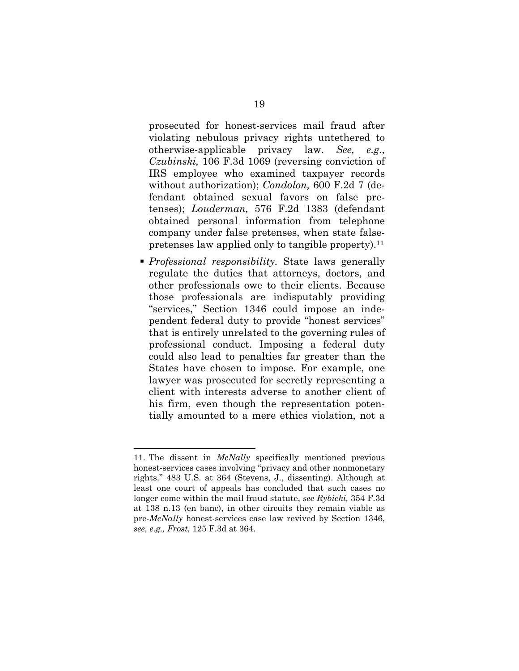prosecuted for honest-services mail fraud after violating nebulous privacy rights untethered to otherwise-applicable privacy law. *See, e.g., Czubinski,* 106 F.3d 1069 (reversing conviction of IRS employee who examined taxpayer records without authorization); *Condolon,* 600 F.2d 7 (defendant obtained sexual favors on false pretenses); *Louderman,* 576 F.2d 1383 (defendant obtained personal information from telephone company under false pretenses, when state falsepretenses law applied only to tangible property).<sup>11</sup>

 *Professional responsibility.* State laws generally regulate the duties that attorneys, doctors, and other professionals owe to their clients. Because those professionals are indisputably providing "services," Section 1346 could impose an independent federal duty to provide "honest services" that is entirely unrelated to the governing rules of professional conduct. Imposing a federal duty could also lead to penalties far greater than the States have chosen to impose. For example, one lawyer was prosecuted for secretly representing a client with interests adverse to another client of his firm, even though the representation potentially amounted to a mere ethics violation, not a

<sup>11.</sup> The dissent in *McNally* specifically mentioned previous honest-services cases involving "privacy and other nonmonetary rights." 483 U.S. at 364 (Stevens, J., dissenting). Although at least one court of appeals has concluded that such cases no longer come within the mail fraud statute, *see Rybicki,* 354 F.3d at 138 n.13 (en banc), in other circuits they remain viable as pre-*McNally* honest-services case law revived by Section 1346, *see, e.g., Frost,* 125 F.3d at 364.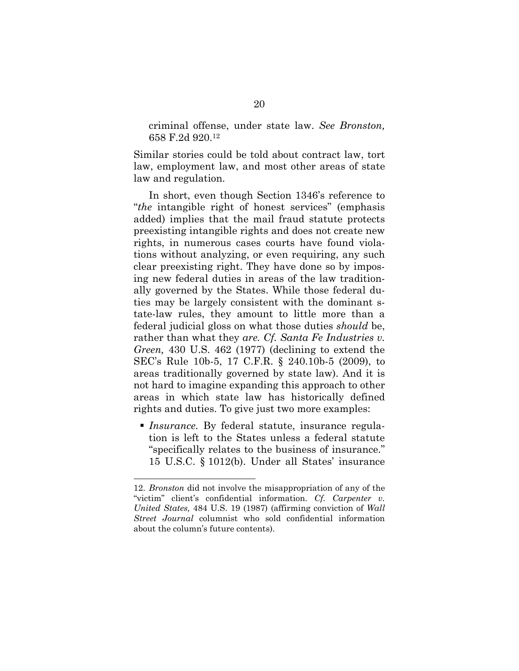criminal offense, under state law. *See Bronston,* 658 F.2d 920.12

Similar stories could be told about contract law, tort law, employment law, and most other areas of state law and regulation.

In short, even though Section 1346's reference to "*the* intangible right of honest services" (emphasis added) implies that the mail fraud statute protects preexisting intangible rights and does not create new rights, in numerous cases courts have found violations without analyzing, or even requiring, any such clear preexisting right. They have done so by imposing new federal duties in areas of the law traditionally governed by the States. While those federal duties may be largely consistent with the dominant state-law rules, they amount to little more than a federal judicial gloss on what those duties *should* be, rather than what they *are. Cf. Santa Fe Industries v. Green,* 430 U.S. 462 (1977) (declining to extend the SEC's Rule 10b-5, 17 C.F.R. § 240.10b-5 (2009), to areas traditionally governed by state law). And it is not hard to imagine expanding this approach to other areas in which state law has historically defined rights and duties. To give just two more examples:

 *Insurance.* By federal statute, insurance regulation is left to the States unless a federal statute "specifically relates to the business of insurance." 15 U.S.C. § 1012(b). Under all States' insurance

<sup>12.</sup> *Bronston* did not involve the misappropriation of any of the "victim" client's confidential information. *Cf. Carpenter v. United States,* 484 U.S. 19 (1987) (affirming conviction of *Wall Street Journal* columnist who sold confidential information about the column's future contents).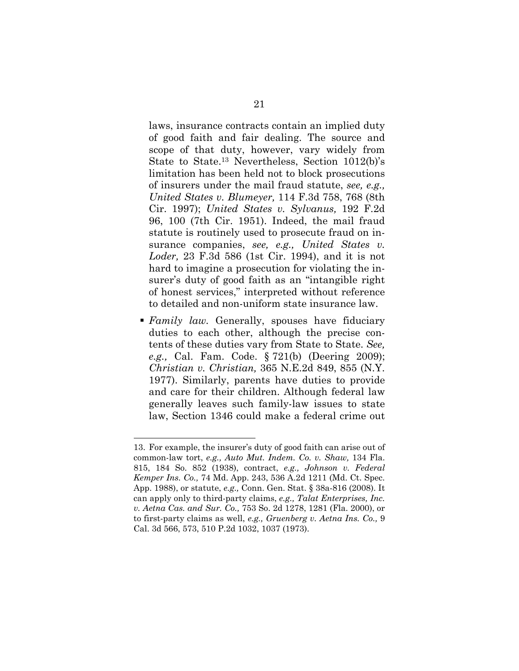laws, insurance contracts contain an implied duty of good faith and fair dealing. The source and scope of that duty, however, vary widely from State to State.13 Nevertheless, Section 1012(b)'s limitation has been held not to block prosecutions of insurers under the mail fraud statute, *see, e.g., United States v. Blumeyer,* 114 F.3d 758, 768 (8th Cir. 1997); *United States v. Sylvanus,* 192 F.2d 96, 100 (7th Cir. 1951). Indeed, the mail fraud statute is routinely used to prosecute fraud on insurance companies, *see, e.g., United States v. Loder,* 23 F.3d 586 (1st Cir. 1994), and it is not hard to imagine a prosecution for violating the insurer's duty of good faith as an "intangible right of honest services," interpreted without reference to detailed and non-uniform state insurance law.

 *Family law.* Generally, spouses have fiduciary duties to each other, although the precise contents of these duties vary from State to State. *See, e.g.,* Cal. Fam. Code. § 721(b) (Deering 2009); *Christian v. Christian,* 365 N.E.2d 849, 855 (N.Y. 1977). Similarly, parents have duties to provide and care for their children. Although federal law generally leaves such family-law issues to state law, Section 1346 could make a federal crime out

<sup>13.</sup> For example, the insurer's duty of good faith can arise out of common-law tort, *e.g., Auto Mut. Indem. Co. v. Shaw,* 134 Fla. 815, 184 So. 852 (1938), contract, *e.g., Johnson v. Federal Kemper Ins. Co.,* 74 Md. App. 243, 536 A.2d 1211 (Md. Ct. Spec. App. 1988), or statute, *e.g.,* Conn. Gen. Stat. § 38a-816 (2008). It can apply only to third-party claims, *e.g., Talat Enterprises, Inc. v. Aetna Cas. and Sur. Co.,* 753 So. 2d 1278, 1281 (Fla. 2000), or to first-party claims as well, *e.g., Gruenberg v. Aetna Ins. Co.,* 9 Cal. 3d 566, 573, 510 P.2d 1032, 1037 (1973).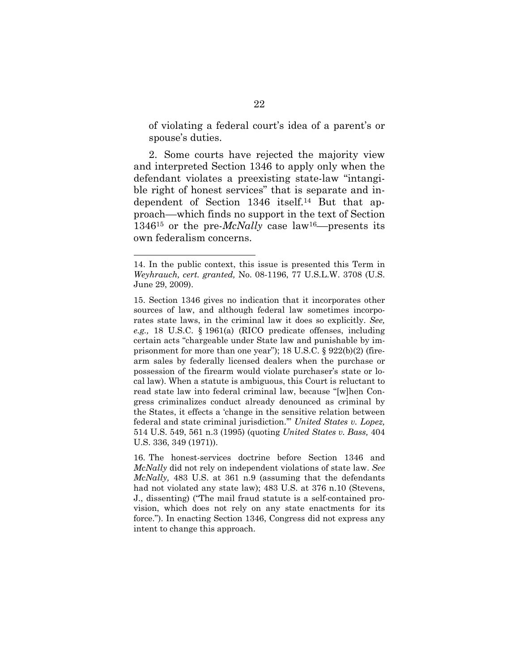of violating a federal court's idea of a parent's or spouse's duties.

2. Some courts have rejected the majority view and interpreted Section 1346 to apply only when the defendant violates a preexisting state-law "intangible right of honest services" that is separate and independent of Section 1346 itself.14 But that approach––which finds no support in the text of Section 134615 or the pre-*McNally* case law16––presents its own federalism concerns.

<sup>14.</sup> In the public context, this issue is presented this Term in *Weyhrauch, cert. granted,* No. 08-1196, 77 U.S.L.W. 3708 (U.S. June 29, 2009).

<sup>15.</sup> Section 1346 gives no indication that it incorporates other sources of law, and although federal law sometimes incorporates state laws, in the criminal law it does so explicitly. *See, e.g.,* 18 U.S.C. § 1961(a) (RICO predicate offenses, including certain acts "chargeable under State law and punishable by imprisonment for more than one year"); 18 U.S.C. § 922(b)(2) (firearm sales by federally licensed dealers when the purchase or possession of the firearm would violate purchaser's state or local law). When a statute is ambiguous, this Court is reluctant to read state law into federal criminal law, because "[w]hen Congress criminalizes conduct already denounced as criminal by the States, it effects a 'change in the sensitive relation between federal and state criminal jurisdiction.'" *United States v. Lopez,* 514 U.S. 549, 561 n.3 (1995) (quoting *United States v. Bass,* 404 U.S. 336, 349 (1971)).

<sup>16.</sup> The honest-services doctrine before Section 1346 and *McNally* did not rely on independent violations of state law. *See McNally,* 483 U.S. at 361 n.9 (assuming that the defendants had not violated any state law); 483 U.S. at 376 n.10 (Stevens, J., dissenting) ("The mail fraud statute is a self-contained provision, which does not rely on any state enactments for its force."). In enacting Section 1346, Congress did not express any intent to change this approach.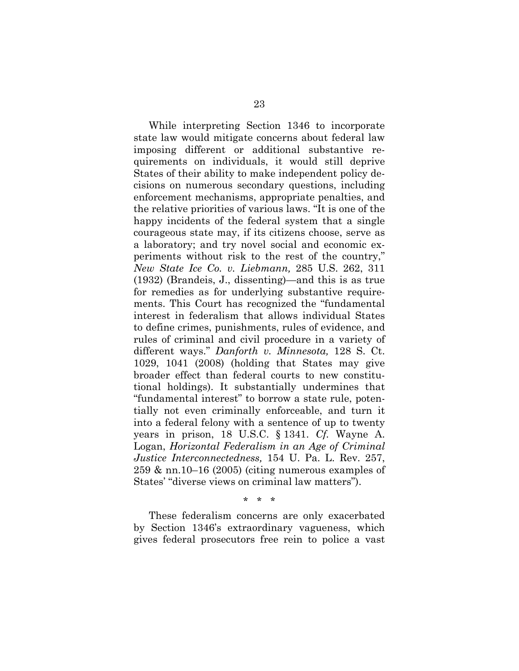While interpreting Section 1346 to incorporate state law would mitigate concerns about federal law imposing different or additional substantive requirements on individuals, it would still deprive States of their ability to make independent policy decisions on numerous secondary questions, including enforcement mechanisms, appropriate penalties, and the relative priorities of various laws. "It is one of the happy incidents of the federal system that a single courageous state may, if its citizens choose, serve as a laboratory; and try novel social and economic experiments without risk to the rest of the country," *New State Ice Co. v. Liebmann,* 285 U.S. 262, 311 (1932) (Brandeis, J., dissenting)—and this is as true for remedies as for underlying substantive requirements. This Court has recognized the "fundamental interest in federalism that allows individual States to define crimes, punishments, rules of evidence, and rules of criminal and civil procedure in a variety of different ways." *Danforth v. Minnesota,* 128 S. Ct. 1029, 1041 (2008) (holding that States may give broader effect than federal courts to new constitutional holdings). It substantially undermines that "fundamental interest" to borrow a state rule, potentially not even criminally enforceable, and turn it into a federal felony with a sentence of up to twenty years in prison, 18 U.S.C. § 1341. *Cf.* Wayne A. Logan, *Horizontal Federalism in an Age of Criminal Justice Interconnectedness,* 154 U. Pa. L. Rev. 257, 259 & nn.10–16 (2005) (citing numerous examples of States' "diverse views on criminal law matters").

\* \* \*

These federalism concerns are only exacerbated by Section 1346's extraordinary vagueness, which gives federal prosecutors free rein to police a vast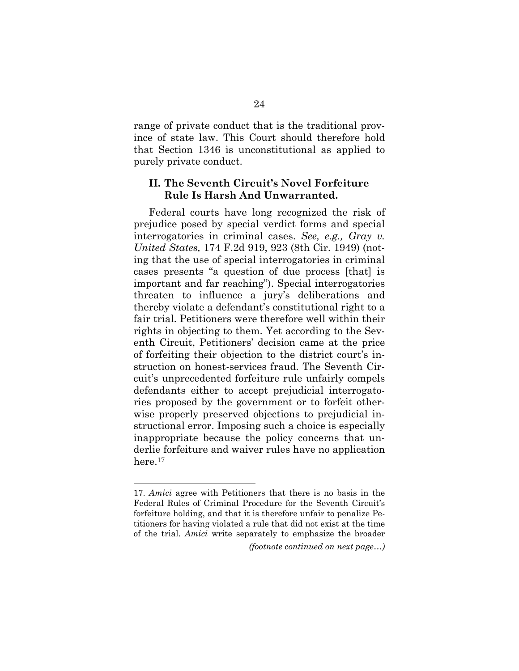range of private conduct that is the traditional province of state law. This Court should therefore hold that Section 1346 is unconstitutional as applied to purely private conduct.

### **II. The Seventh Circuit's Novel Forfeiture Rule Is Harsh And Unwarranted.**

Federal courts have long recognized the risk of prejudice posed by special verdict forms and special interrogatories in criminal cases. *See, e.g., Gray v. United States,* 174 F.2d 919, 923 (8th Cir. 1949) (noting that the use of special interrogatories in criminal cases presents "a question of due process [that] is important and far reaching"). Special interrogatories threaten to influence a jury's deliberations and thereby violate a defendant's constitutional right to a fair trial. Petitioners were therefore well within their rights in objecting to them. Yet according to the Seventh Circuit, Petitioners' decision came at the price of forfeiting their objection to the district court's instruction on honest-services fraud. The Seventh Circuit's unprecedented forfeiture rule unfairly compels defendants either to accept prejudicial interrogatories proposed by the government or to forfeit otherwise properly preserved objections to prejudicial instructional error. Imposing such a choice is especially inappropriate because the policy concerns that underlie forfeiture and waiver rules have no application here.17

<sup>17.</sup> *Amici* agree with Petitioners that there is no basis in the Federal Rules of Criminal Procedure for the Seventh Circuit's forfeiture holding, and that it is therefore unfair to penalize Petitioners for having violated a rule that did not exist at the time of the trial. *Amici* write separately to emphasize the broader

*<sup>(</sup>footnote continued on next page…)*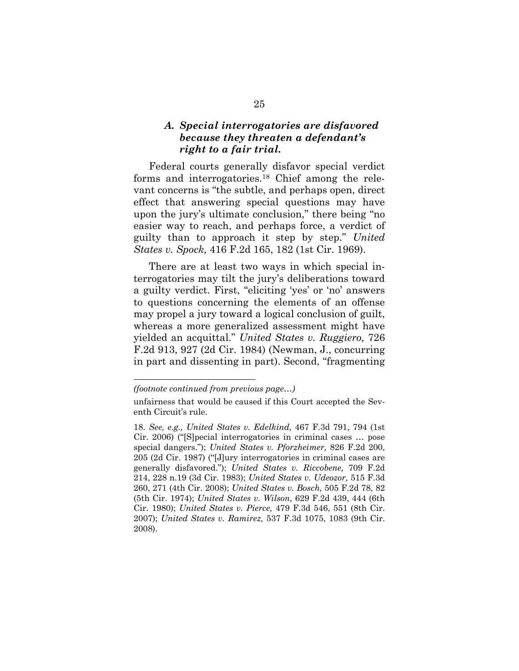## *A. Special interrogatories are disfavored because they threaten a defendant's right to a fair trial.*

Federal courts generally disfavor special verdict forms and interrogatories.18 Chief among the relevant concerns is "the subtle, and perhaps open, direct effect that answering special questions may have upon the jury's ultimate conclusion," there being "no easier way to reach, and perhaps force, a verdict of guilty than to approach it step by step." *United States v. Spock,* 416 F.2d 165, 182 (1st Cir. 1969).

There are at least two ways in which special interrogatories may tilt the jury's deliberations toward a guilty verdict. First, "eliciting 'yes' or 'no' answers to questions concerning the elements of an offense may propel a jury toward a logical conclusion of guilt, whereas a more generalized assessment might have yielded an acquittal." *United States v. Ruggiero,* 726 F.2d 913, 927 (2d Cir. 1984) (Newman, J., concurring in part and dissenting in part). Second, "fragmenting

*<sup>(</sup>footnote continued from previous page…)* 

unfairness that would be caused if this Court accepted the Seventh Circuit's rule.

<sup>18.</sup> *See, e.g., United States v. Edelkind,* 467 F.3d 791, 794 (1st Cir. 2006) ("[S]pecial interrogatories in criminal cases … pose special dangers."); *United States v. Pforzheimer,* 826 F.2d 200, 205 (2d Cir. 1987) ("[J]ury interrogatories in criminal cases are generally disfavored."); *United States v. Riccobene,* 709 F.2d 214, 228 n.19 (3d Cir. 1983); *United States v. Udeozor,* 515 F.3d 260, 271 (4th Cir. 2008); *United States v. Bosch,* 505 F.2d 78, 82 (5th Cir. 1974); *United States v. Wilson,* 629 F.2d 439, 444 (6th Cir. 1980); *United States v. Pierce,* 479 F.3d 546, 551 (8th Cir. 2007); *United States v. Ramirez,* 537 F.3d 1075, 1083 (9th Cir. 2008).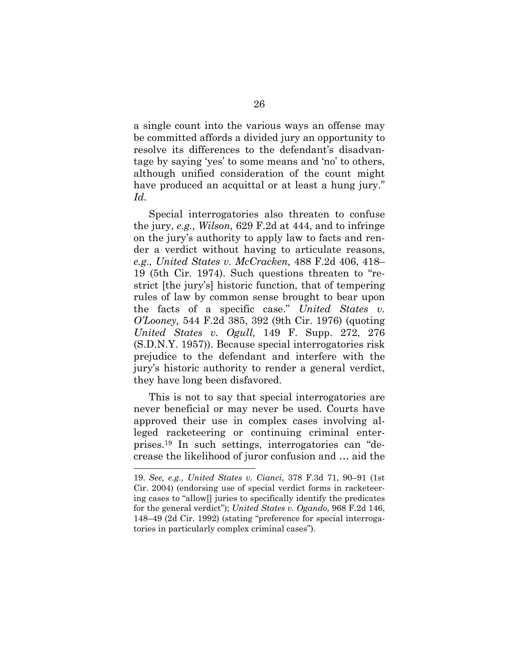a single count into the various ways an offense may be committed affords a divided jury an opportunity to resolve its differences to the defendant's disadvantage by saying 'yes' to some means and 'no' to others, although unified consideration of the count might have produced an acquittal or at least a hung jury." *Id.* 

Special interrogatories also threaten to confuse the jury, *e.g., Wilson,* 629 F.2d at 444, and to infringe on the jury's authority to apply law to facts and render a verdict without having to articulate reasons, *e.g., United States v. McCracken,* 488 F.2d 406, 418– 19 (5th Cir. 1974). Such questions threaten to "restrict [the jury's] historic function, that of tempering rules of law by common sense brought to bear upon the facts of a specific case." *United States v. O'Looney,* 544 F.2d 385, 392 (9th Cir. 1976) (quoting *United States v. Ogull,* 149 F. Supp. 272, 276 (S.D.N.Y. 1957)). Because special interrogatories risk prejudice to the defendant and interfere with the jury's historic authority to render a general verdict, they have long been disfavored.

This is not to say that special interrogatories are never beneficial or may never be used. Courts have approved their use in complex cases involving alleged racketeering or continuing criminal enterprises.19 In such settings, interrogatories can "decrease the likelihood of juror confusion and … aid the

<sup>19.</sup> *See, e.g., United States v. Cianci,* 378 F.3d 71, 90–91 (1st Cir. 2004) (endorsing use of special verdict forms in racketeering cases to "allow[] juries to specifically identify the predicates for the general verdict"); *United States v. Ogando,* 968 F.2d 146, 148–49 (2d Cir. 1992) (stating "preference for special interrogatories in particularly complex criminal cases").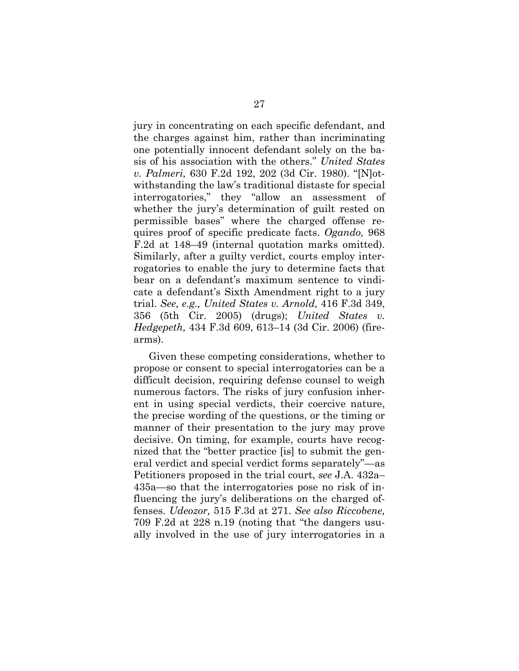jury in concentrating on each specific defendant, and the charges against him, rather than incriminating one potentially innocent defendant solely on the basis of his association with the others." *United States v. Palmeri,* 630 F.2d 192, 202 (3d Cir. 1980). "[N]otwithstanding the law's traditional distaste for special interrogatories," they "allow an assessment of whether the jury's determination of guilt rested on permissible bases" where the charged offense requires proof of specific predicate facts. *Ogando,* 968 F.2d at 148–49 (internal quotation marks omitted). Similarly, after a guilty verdict, courts employ interrogatories to enable the jury to determine facts that bear on a defendant's maximum sentence to vindicate a defendant's Sixth Amendment right to a jury trial. *See, e.g., United States v. Arnold,* 416 F.3d 349, 356 (5th Cir. 2005) (drugs); *United States v. Hedgepeth,* 434 F.3d 609, 613–14 (3d Cir. 2006) (firearms).

Given these competing considerations, whether to propose or consent to special interrogatories can be a difficult decision, requiring defense counsel to weigh numerous factors. The risks of jury confusion inherent in using special verdicts, their coercive nature, the precise wording of the questions, or the timing or manner of their presentation to the jury may prove decisive. On timing, for example, courts have recognized that the "better practice [is] to submit the general verdict and special verdict forms separately"—as Petitioners proposed in the trial court, *see* J.A. 432a– 435a—so that the interrogatories pose no risk of influencing the jury's deliberations on the charged offenses. *Udeozor,* 515 F.3d at 271. *See also Riccobene,* 709 F.2d at 228 n.19 (noting that "the dangers usually involved in the use of jury interrogatories in a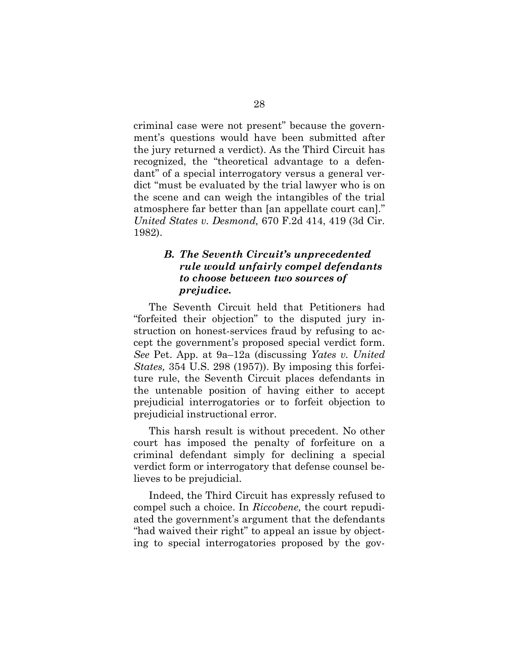criminal case were not present" because the government's questions would have been submitted after the jury returned a verdict). As the Third Circuit has recognized, the "theoretical advantage to a defendant" of a special interrogatory versus a general verdict "must be evaluated by the trial lawyer who is on the scene and can weigh the intangibles of the trial atmosphere far better than [an appellate court can]." *United States v. Desmond,* 670 F.2d 414, 419 (3d Cir. 1982).

### *B. The Seventh Circuit's unprecedented rule would unfairly compel defendants to choose between two sources of prejudice.*

The Seventh Circuit held that Petitioners had "forfeited their objection" to the disputed jury instruction on honest-services fraud by refusing to accept the government's proposed special verdict form. *See* Pet. App. at 9a–12a (discussing *Yates v. United States,* 354 U.S. 298 (1957)). By imposing this forfeiture rule, the Seventh Circuit places defendants in the untenable position of having either to accept prejudicial interrogatories or to forfeit objection to prejudicial instructional error.

This harsh result is without precedent. No other court has imposed the penalty of forfeiture on a criminal defendant simply for declining a special verdict form or interrogatory that defense counsel believes to be prejudicial.

Indeed, the Third Circuit has expressly refused to compel such a choice. In *Riccobene,* the court repudiated the government's argument that the defendants "had waived their right" to appeal an issue by objecting to special interrogatories proposed by the gov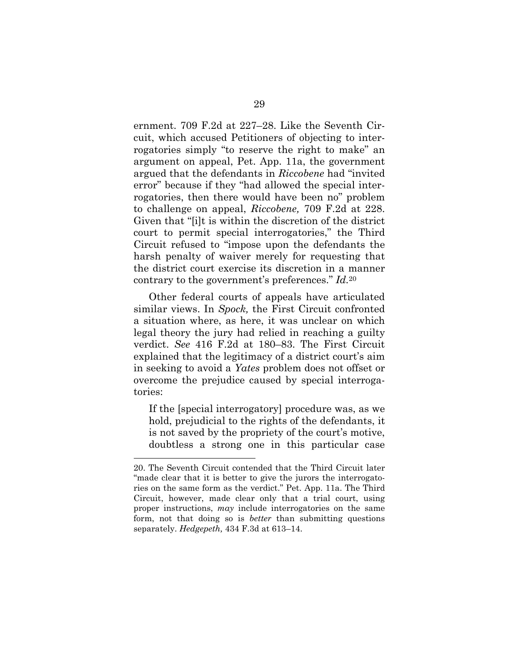ernment. 709 F.2d at 227–28. Like the Seventh Circuit, which accused Petitioners of objecting to interrogatories simply "to reserve the right to make" an argument on appeal, Pet. App. 11a, the government argued that the defendants in *Riccobene* had "invited error" because if they "had allowed the special interrogatories, then there would have been no" problem to challenge on appeal, *Riccobene,* 709 F.2d at 228. Given that "[i]t is within the discretion of the district court to permit special interrogatories," the Third Circuit refused to "impose upon the defendants the harsh penalty of waiver merely for requesting that the district court exercise its discretion in a manner contrary to the government's preferences." *Id.*<sup>20</sup>

Other federal courts of appeals have articulated similar views. In *Spock,* the First Circuit confronted a situation where, as here, it was unclear on which legal theory the jury had relied in reaching a guilty verdict. *See* 416 F.2d at 180–83. The First Circuit explained that the legitimacy of a district court's aim in seeking to avoid a *Yates* problem does not offset or overcome the prejudice caused by special interrogatories:

If the [special interrogatory] procedure was, as we hold, prejudicial to the rights of the defendants, it is not saved by the propriety of the court's motive, doubtless a strong one in this particular case

<sup>20.</sup> The Seventh Circuit contended that the Third Circuit later "made clear that it is better to give the jurors the interrogatories on the same form as the verdict." Pet. App. 11a. The Third Circuit, however, made clear only that a trial court, using proper instructions, *may* include interrogatories on the same form, not that doing so is *better* than submitting questions separately. *Hedgepeth,* 434 F.3d at 613–14.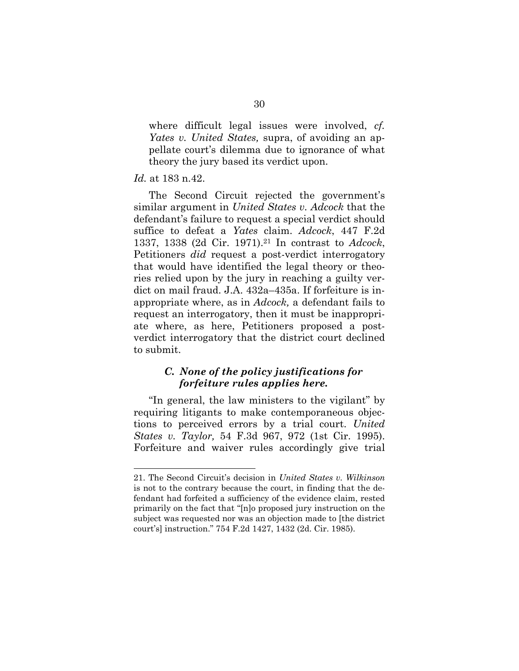where difficult legal issues were involved, *cf. Yates v. United States,* supra, of avoiding an appellate court's dilemma due to ignorance of what theory the jury based its verdict upon.

#### *Id.* at 183 n.42.

l

The Second Circuit rejected the government's similar argument in *United States v. Adcock* that the defendant's failure to request a special verdict should suffice to defeat a *Yates* claim. *Adcock*, 447 F.2d 1337, 1338 (2d Cir. 1971).21 In contrast to *Adcock*, Petitioners *did* request a post-verdict interrogatory that would have identified the legal theory or theories relied upon by the jury in reaching a guilty verdict on mail fraud. J.A. 432a–435a. If forfeiture is inappropriate where, as in *Adcock,* a defendant fails to request an interrogatory, then it must be inappropriate where, as here, Petitioners proposed a postverdict interrogatory that the district court declined to submit.

## *C. None of the policy justifications for forfeiture rules applies here.*

"In general, the law ministers to the vigilant" by requiring litigants to make contemporaneous objections to perceived errors by a trial court. *United States v. Taylor,* 54 F.3d 967, 972 (1st Cir. 1995). Forfeiture and waiver rules accordingly give trial

<sup>21.</sup> The Second Circuit's decision in *United States v. Wilkinson* is not to the contrary because the court, in finding that the defendant had forfeited a sufficiency of the evidence claim, rested primarily on the fact that "[n]o proposed jury instruction on the subject was requested nor was an objection made to [the district court's] instruction." 754 F.2d 1427, 1432 (2d. Cir. 1985).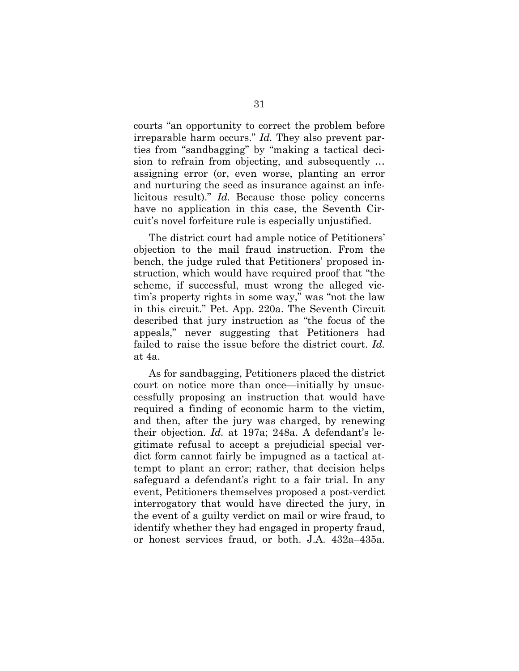courts "an opportunity to correct the problem before irreparable harm occurs." *Id.* They also prevent parties from "sandbagging" by "making a tactical decision to refrain from objecting, and subsequently … assigning error (or, even worse, planting an error and nurturing the seed as insurance against an infelicitous result)." *Id.* Because those policy concerns have no application in this case, the Seventh Circuit's novel forfeiture rule is especially unjustified.

The district court had ample notice of Petitioners' objection to the mail fraud instruction. From the bench, the judge ruled that Petitioners' proposed instruction, which would have required proof that "the scheme, if successful, must wrong the alleged victim's property rights in some way," was "not the law in this circuit." Pet. App. 220a. The Seventh Circuit described that jury instruction as "the focus of the appeals," never suggesting that Petitioners had failed to raise the issue before the district court. *Id.* at 4a.

As for sandbagging, Petitioners placed the district court on notice more than once—initially by unsuccessfully proposing an instruction that would have required a finding of economic harm to the victim, and then, after the jury was charged, by renewing their objection. *Id.* at 197a; 248a. A defendant's legitimate refusal to accept a prejudicial special verdict form cannot fairly be impugned as a tactical attempt to plant an error; rather, that decision helps safeguard a defendant's right to a fair trial. In any event, Petitioners themselves proposed a post-verdict interrogatory that would have directed the jury, in the event of a guilty verdict on mail or wire fraud, to identify whether they had engaged in property fraud, or honest services fraud, or both. J.A. 432a–435a.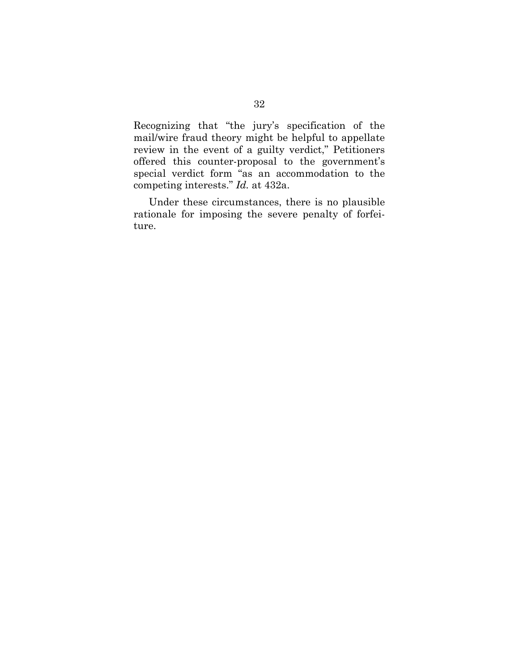Recognizing that "the jury's specification of the mail/wire fraud theory might be helpful to appellate review in the event of a guilty verdict," Petitioners offered this counter-proposal to the government's special verdict form "as an accommodation to the competing interests." *Id.* at 432a.

Under these circumstances, there is no plausible rationale for imposing the severe penalty of forfeiture.